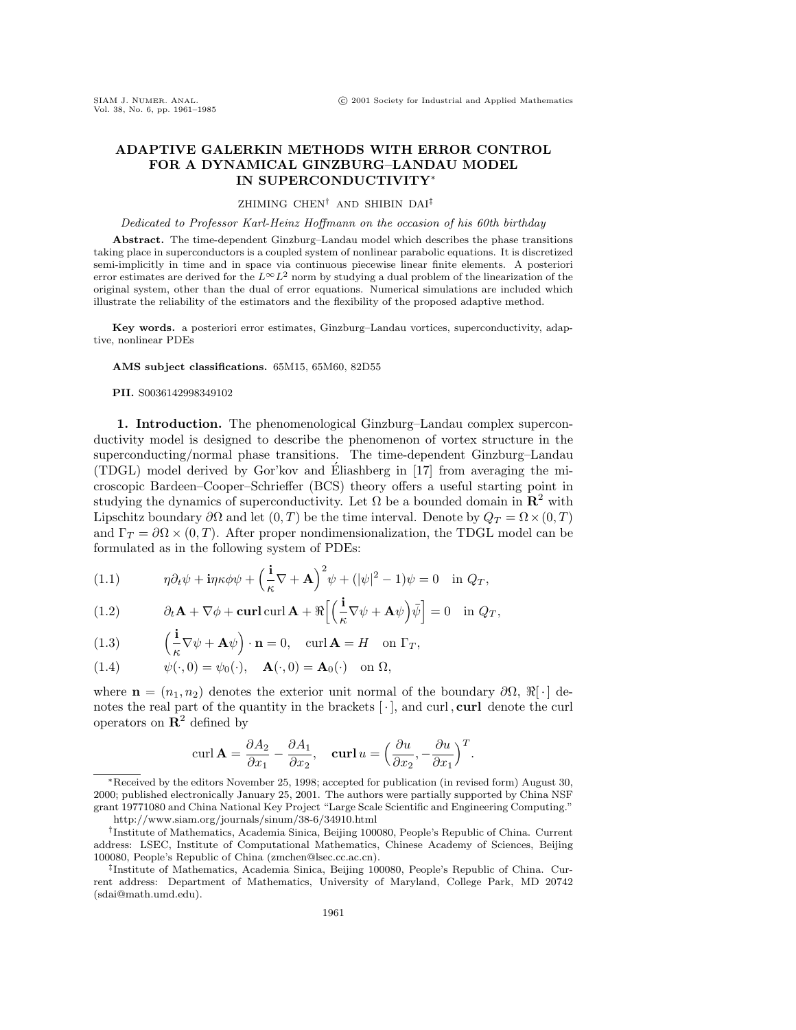# **ADAPTIVE GALERKIN METHODS WITH ERROR CONTROL FOR A DYNAMICAL GINZBURG–LANDAU MODEL IN SUPERCONDUCTIVITY**<sup>∗</sup>

## ZHIMING CHEN† AND SHIBIN DAI‡

### Dedicated to Professor Karl-Heinz Hoffmann on the occasion of his 60th birthday

Abstract. The time-dependent Ginzburg–Landau model which describes the phase transitions taking place in superconductors is a coupled system of nonlinear parabolic equations. It is discretized semi-implicitly in time and in space via continuous piecewise linear finite elements. A posteriori error estimates are derived for the  $L^{\infty}L^2$  norm by studying a dual problem of the linearization of the original system, other than the dual of error equations. Numerical simulations are included which illustrate the reliability of the estimators and the flexibility of the proposed adaptive method.

**Key words.** a posteriori error estimates, Ginzburg–Landau vortices, superconductivity, adaptive, nonlinear PDEs

#### **AMS subject classifications.** 65M15, 65M60, 82D55

### **PII.** S0036142998349102

**1. Introduction.** The phenomenological Ginzburg–Landau complex superconductivity model is designed to describe the phenomenon of vortex structure in the superconducting/normal phase transitions. The time-dependent Ginzburg–Landau (TDGL) model derived by Gor'kov and Eliashberg in [17] from averaging the microscopic Bardeen–Cooper–Schrieffer (BCS) theory offers a useful starting point in studying the dynamics of superconductivity. Let  $\Omega$  be a bounded domain in  $\mathbb{R}^2$  with Lipschitz boundary  $\partial\Omega$  and let  $(0, T)$  be the time interval. Denote by  $Q_T = \Omega \times (0, T)$ and  $\Gamma_T = \partial \Omega \times (0,T)$ . After proper nondimensionalization, the TDGL model can be formulated as in the following system of PDEs:

(1.1) 
$$
\eta \partial_t \psi + i \eta \kappa \phi \psi + \left(\frac{i}{\kappa} \nabla + \mathbf{A}\right)^2 \psi + (|\psi|^2 - 1)\psi = 0 \text{ in } Q_T,
$$

(1.2) 
$$
\partial_t \mathbf{A} + \nabla \phi + \mathbf{curl} \operatorname{curl} \mathbf{A} + \Re \left[ \left( \frac{\mathbf{i}}{\kappa} \nabla \psi + \mathbf{A} \psi \right) \bar{\psi} \right] = 0 \text{ in } Q_T,
$$

(1.3) 
$$
\left(\frac{\mathbf{i}}{\kappa}\nabla\psi + \mathbf{A}\psi\right)\cdot\mathbf{n} = 0, \text{ curl }\mathbf{A} = H \text{ on }\Gamma_T,
$$

(1.4) 
$$
\psi(\cdot,0) = \psi_0(\cdot), \quad \mathbf{A}(\cdot,0) = \mathbf{A}_0(\cdot) \quad \text{on } \Omega,
$$

where  $\mathbf{n} = (n_1, n_2)$  denotes the exterior unit normal of the boundary  $\partial\Omega$ ,  $\Re[\cdot]$  denotes the real part of the quantity in the brackets  $[\cdot]$ , and curl, **curl** denote the curl operators on  $\mathbb{R}^2$  defined by

$$
\operatorname{curl} \mathbf{A} = \frac{\partial A_2}{\partial x_1} - \frac{\partial A_1}{\partial x_2}, \quad \operatorname{curl} u = \left(\frac{\partial u}{\partial x_2}, -\frac{\partial u}{\partial x_1}\right)^T.
$$

∗Received by the editors November 25, 1998; accepted for publication (in revised form) August 30, 2000; published electronically January 25, 2001. The authors were partially supported by China NSF grant 19771080 and China NationalKey Project "Large Scale Scientific and Engineering Computing." http://www.siam.org/journals/sinum/38-6/34910.html

<sup>†</sup>Institute of Mathematics, Academia Sinica, Beijing 100080, People's Republic of China. Current address: LSEC, Institute of Computational Mathematics, Chinese Academy of Sciences, Beijing 100080, People's Republic of China (zmchen@lsec.cc.ac.cn).

<sup>‡</sup>Institute of Mathematics, Academia Sinica, Beijing 100080, People's Republic of China. Current address: Department of Mathematics, University of Maryland, College Park, MD 20742 (sdai@math.umd.edu).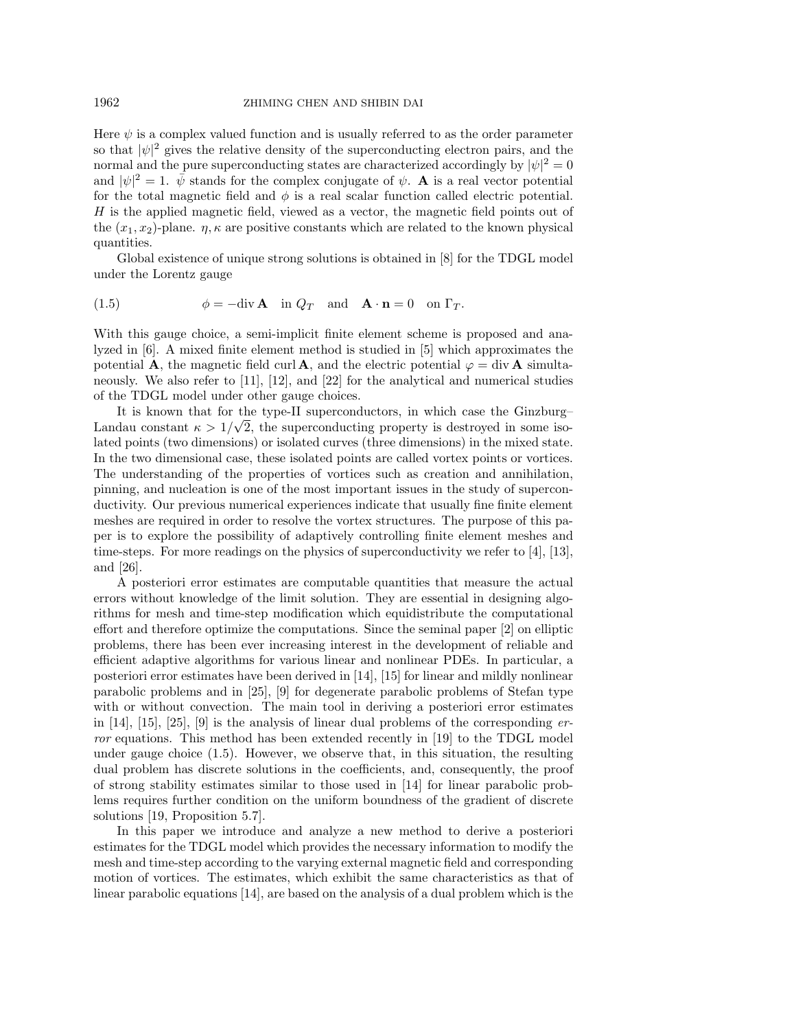Here  $\psi$  is a complex valued function and is usually referred to as the order parameter so that  $|\psi|^2$  gives the relative density of the superconducting electron pairs, and the normal and the pure superconducting states are characterized accordingly by  $|\psi|^2 = 0$ and  $|\psi|^2 = 1$ .  $\bar{\psi}$  stands for the complex conjugate of  $\psi$ . **A** is a real vector potential for the total magnetic field and  $\phi$  is a real scalar function called electric potential. H is the applied magnetic field, viewed as a vector, the magnetic field points out of the  $(x_1, x_2)$ -plane.  $\eta$ ,  $\kappa$  are positive constants which are related to the known physical quantities.

Global existence of unique strong solutions is obtained in [8] for the TDGL model under the Lorentz gauge

(1.5) 
$$
\phi = -\text{div }\mathbf{A} \quad \text{in } Q_T \quad \text{and} \quad \mathbf{A} \cdot \mathbf{n} = 0 \quad \text{on } \Gamma_T.
$$

With this gauge choice, a semi-implicit finite element scheme is proposed and analyzed in [6]. A mixed finite element method is studied in [5] which approximates the potential **A**, the magnetic field curl **A**, and the electric potential  $\varphi = \text{div } \mathbf{A}$  simultaneously. We also refer to [11], [12], and [22] for the analytical and numerical studies of the TDGL model under other gauge choices.

It is known that for the type-II superconductors, in which case the Ginzburg– It is known that for the type-11 superconductors, in which case the Ginzburg-<br>Landau constant  $\kappa > 1/\sqrt{2}$ , the superconducting property is destroyed in some isolated points (two dimensions) or isolated curves (three dimensions) in the mixed state. In the two dimensional case, these isolated points are called vortex points or vortices. The understanding of the properties of vortices such as creation and annihilation, pinning, and nucleation is one of the most important issues in the study of superconductivity. Our previous numerical experiences indicate that usually fine finite element meshes are required in order to resolve the vortex structures. The purpose of this paper is to explore the possibility of adaptively controlling finite element meshes and time-steps. For more readings on the physics of superconductivity we refer to [4], [13], and [26].

A posteriori error estimates are computable quantities that measure the actual errors without knowledge of the limit solution. They are essential in designing algorithms for mesh and time-step modification which equidistribute the computational effort and therefore optimize the computations. Since the seminal paper [2] on elliptic problems, there has been ever increasing interest in the development of reliable and efficient adaptive algorithms for various linear and nonlinear PDEs. In particular, a posteriori error estimates have been derived in [14], [15] for linear and mildly nonlinear parabolic problems and in [25], [9] for degenerate parabolic problems of Stefan type with or without convection. The main tool in deriving a posteriori error estimates in  $[14]$ ,  $[15]$ ,  $[25]$ ,  $[9]$  is the analysis of linear dual problems of the corresponding error equations. This method has been extended recently in [19] to the TDGL model under gauge choice (1.5). However, we observe that, in this situation, the resulting dual problem has discrete solutions in the coefficients, and, consequently, the proof of strong stability estimates similar to those used in [14] for linear parabolic problems requires further condition on the uniform boundness of the gradient of discrete solutions [19, Proposition 5.7].

In this paper we introduce and analyze a new method to derive a posteriori estimates for the TDGL model which provides the necessary information to modify the mesh and time-step according to the varying external magnetic field and corresponding motion of vortices. The estimates, which exhibit the same characteristics as that of linear parabolic equations [14], are based on the analysis of a dual problem which is the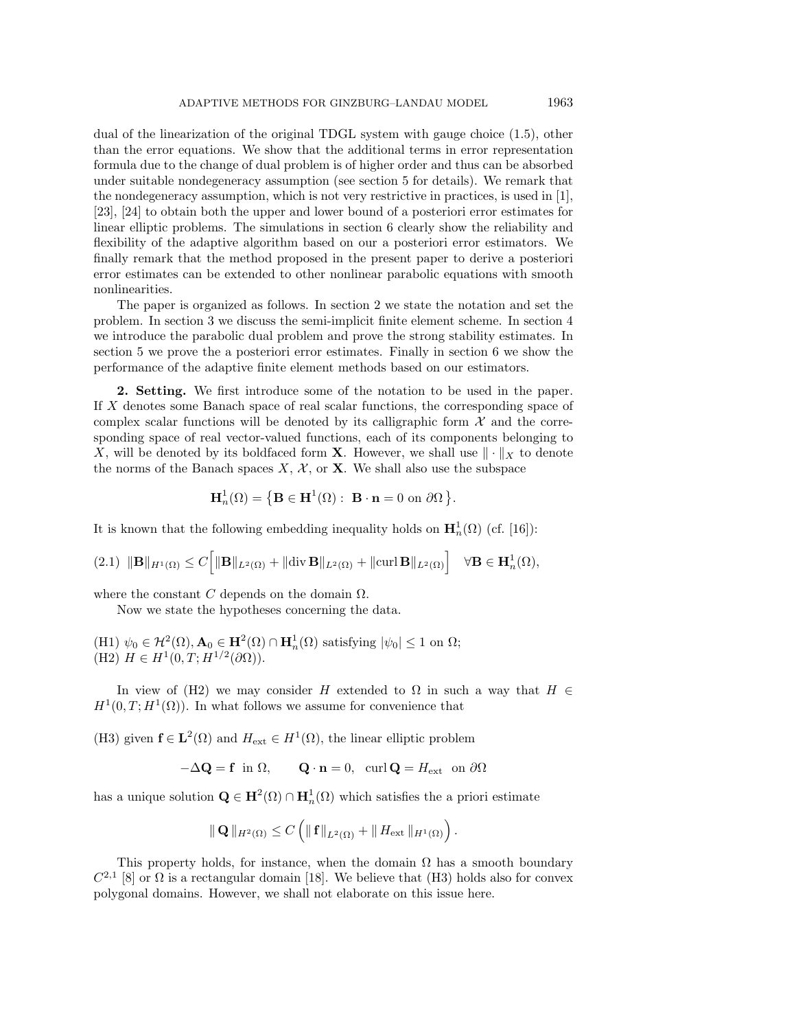dual of the linearization of the original TDGL system with gauge choice (1.5), other than the error equations. We show that the additional terms in error representation formula due to the change of dual problem is of higher order and thus can be absorbed under suitable nondegeneracy assumption (see section 5 for details). We remark that the nondegeneracy assumption, which is not very restrictive in practices, is used in [1], [23], [24] to obtain both the upper and lower bound of a posteriori error estimates for linear elliptic problems. The simulations in section 6 clearly show the reliability and flexibility of the adaptive algorithm based on our a posteriori error estimators. We finally remark that the method proposed in the present paper to derive a posteriori error estimates can be extended to other nonlinear parabolic equations with smooth nonlinearities.

The paper is organized as follows. In section 2 we state the notation and set the problem. In section 3 we discuss the semi-implicit finite element scheme. In section 4 we introduce the parabolic dual problem and prove the strong stability estimates. In section 5 we prove the a posteriori error estimates. Finally in section 6 we show the performance of the adaptive finite element methods based on our estimators.

**2. Setting.** We first introduce some of the notation to be used in the paper. If X denotes some Banach space of real scalar functions, the corresponding space of complex scalar functions will be denoted by its calligraphic form  $\mathcal X$  and the corresponding space of real vector-valued functions, each of its components belonging to X, will be denoted by its boldfaced form **X**. However, we shall use  $\|\cdot\|_X$  to denote the norms of the Banach spaces  $X, \mathcal{X}$ , or **X**. We shall also use the subspace

$$
\mathbf{H}_n^1(\Omega) = \left\{ \mathbf{B} \in \mathbf{H}^1(\Omega) : \ \mathbf{B} \cdot \mathbf{n} = 0 \text{ on } \partial \Omega \right\}.
$$

It is known that the following embedding inequality holds on  $\mathbf{H}_n^1(\Omega)$  (cf. [16]):

$$
(2.1) \|\mathbf{B}\|_{H^1(\Omega)} \le C \Big[ \|\mathbf{B}\|_{L^2(\Omega)} + \|\mathrm{div}\,\mathbf{B}\|_{L^2(\Omega)} + \|\mathrm{curl}\,\mathbf{B}\|_{L^2(\Omega)} \Big] \quad \forall \mathbf{B} \in \mathbf{H}_n^1(\Omega),
$$

where the constant C depends on the domain  $\Omega$ .

Now we state the hypotheses concerning the data.

(H1)  $\psi_0 \in \mathcal{H}^2(\Omega)$ ,  $\mathbf{A}_0 \in \mathbf{H}^2(\Omega) \cap \mathbf{H}^1_n(\Omega)$  satisfying  $|\psi_0| \le 1$  on  $\Omega$ ; (H2)  $H \in H^1(0, T; H^{1/2}(\partial \Omega)).$ 

In view of (H2) we may consider H extended to  $\Omega$  in such a way that  $H \in$  $H^1(0,T;H^1(\Omega))$ . In what follows we assume for convenience that

(H3) given  $f \in L^2(\Omega)$  and  $H_{ext} \in H^1(\Omega)$ , the linear elliptic problem

$$
-\Delta \mathbf{Q} = \mathbf{f} \text{ in } \Omega, \qquad \mathbf{Q} \cdot \mathbf{n} = 0, \text{ curl } \mathbf{Q} = H_{\text{ext}} \text{ on } \partial \Omega
$$

has a unique solution  $\mathbf{Q} \in \mathbf{H}^2(\Omega) \cap \mathbf{H}^1_n(\Omega)$  which satisfies the a priori estimate

$$
\|\mathbf{Q}\|_{H^2(\Omega)} \leq C \left( \|\mathbf{f}\|_{L^2(\Omega)} + \|H_{\text{ext}}\|_{H^1(\Omega)} \right).
$$

This property holds, for instance, when the domain  $\Omega$  has a smooth boundary  $C^{2,1}$  [8] or  $\Omega$  is a rectangular domain [18]. We believe that (H3) holds also for convex polygonal domains. However, we shall not elaborate on this issue here.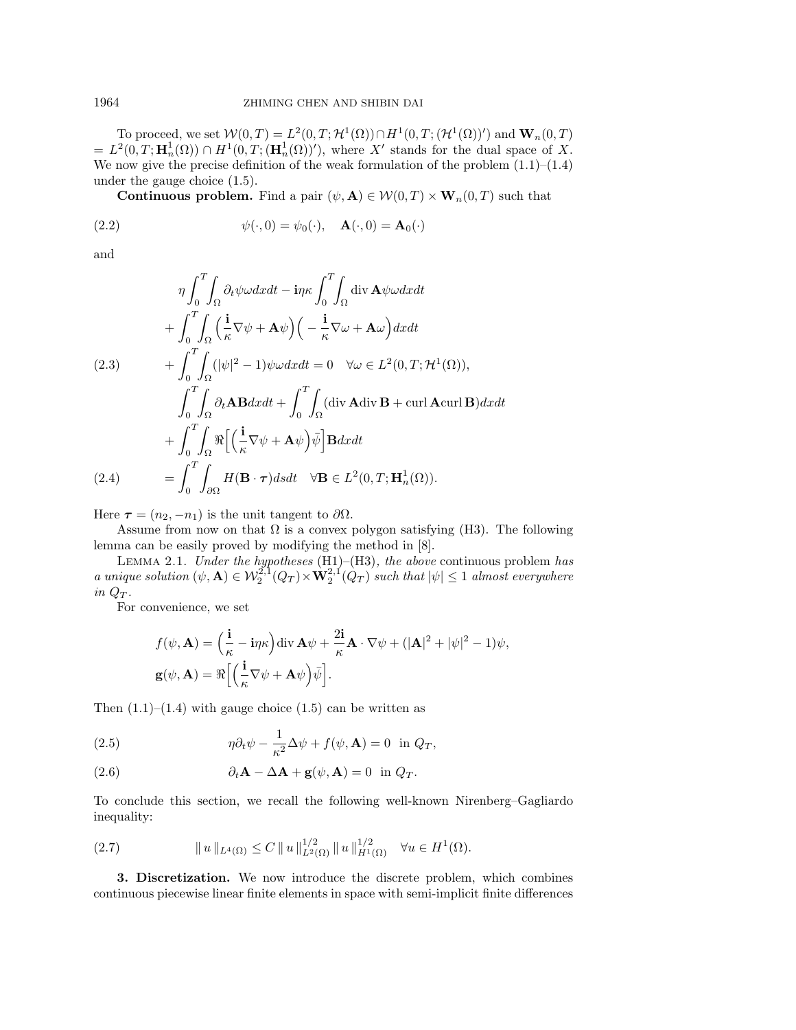To proceed, we set  $W(0,T) = L^2(0,T; \mathcal{H}^1(\Omega)) \cap H^1(0,T; (\mathcal{H}^1(\Omega))')$  and  $\mathbf{W}_n(0,T)$  $= L^2(0,T; \mathbf{H}_n^1(\Omega)) \cap H^1(0,T; (\mathbf{H}_n^1(\Omega))')$ , where X' stands for the dual space of X. We now give the precise definition of the weak formulation of the problem  $(1.1)$ – $(1.4)$ under the gauge choice (1.5).

**Continuous problem.** Find a pair  $(\psi, \mathbf{A}) \in \mathcal{W}(0, T) \times \mathbf{W}_n(0, T)$  such that

(2.2) 
$$
\psi(\cdot,0) = \psi_0(\cdot), \quad \mathbf{A}(\cdot,0) = \mathbf{A}_0(\cdot)
$$

and

$$
\eta \int_0^T \int_{\Omega} \partial_t \psi \omega dx dt - i\eta \kappa \int_0^T \int_{\Omega} \text{div } \mathbf{A} \psi \omega dx dt \n+ \int_0^T \int_{\Omega} \left( \frac{i}{\kappa} \nabla \psi + \mathbf{A} \psi \right) \left( -\frac{i}{\kappa} \nabla \omega + \mathbf{A} \omega \right) dx dt \n(2.3) 
$$
+ \int_0^T \int_{\Omega} (|\psi|^2 - 1) \psi \omega dx dt = 0 \quad \forall \omega \in L^2(0, T; \mathcal{H}^1(\Omega)), \n\int_0^T \int_{\Omega} \partial_t \mathbf{A} \mathbf{B} dx dt + \int_0^T \int_{\Omega} (\text{div } \mathbf{A} \, \text{div } \mathbf{B} + \text{curl } \mathbf{A} \, \text{curl } \mathbf{B}) dx dt \n+ \int_0^T \int_{\Omega} \Re \left[ \left( \frac{i}{\kappa} \nabla \psi + \mathbf{A} \psi \right) \bar{\psi} \right] \mathbf{B} dx dt \n(2.4) 
$$
= \int_0^T \int_{\partial \Omega} H(\mathbf{B} \cdot \boldsymbol{\tau}) ds dt \quad \forall \mathbf{B} \in L^2(0, T; \mathbf{H}_n^1(\Omega)).
$$
$$
$$

Here  $\tau = (n_2, -n_1)$  is the unit tangent to  $\partial \Omega$ .

Assume from now on that  $\Omega$  is a convex polygon satisfying (H3). The following lemma can be easily proved by modifying the method in [8].

LEMMA 2.1. Under the hypotheses  $(H1)$ – $(H3)$ , the above continuous problem has a unique solution  $(\psi, \mathbf{A}) \in \mathcal{W}_2^{2,1}(Q_T) \times \mathbf{W}_2^{2,1}(Q_T)$  such that  $|\psi| \leq 1$  almost everywhere in  $Q_T$ .

For convenience, we set

$$
f(\psi, \mathbf{A}) = \left(\frac{\mathbf{i}}{\kappa} - \mathbf{i}\eta\kappa\right) \text{div}\,\mathbf{A}\psi + \frac{2\mathbf{i}}{\kappa}\mathbf{A} \cdot \nabla\psi + (|\mathbf{A}|^2 + |\psi|^2 - 1)\psi,
$$
  

$$
\mathbf{g}(\psi, \mathbf{A}) = \Re\Big[\Big(\frac{\mathbf{i}}{\kappa}\nabla\psi + \mathbf{A}\psi\Big)\bar{\psi}\Big].
$$

Then  $(1.1)$ – $(1.4)$  with gauge choice  $(1.5)$  can be written as

(2.5) 
$$
\eta \partial_t \psi - \frac{1}{\kappa^2} \Delta \psi + f(\psi, \mathbf{A}) = 0 \text{ in } Q_T,
$$

(2.6) 
$$
\partial_t \mathbf{A} - \Delta \mathbf{A} + \mathbf{g}(\psi, \mathbf{A}) = 0 \text{ in } Q_T.
$$

To conclude this section, we recall the following well-known Nirenberg–Gagliardo inequality:

$$
(2.7) \t\t\t ||u||_{L^{4}(\Omega)} \leq C ||u||_{L^{2}(\Omega)}^{1/2} ||u||_{H^{1}(\Omega)}^{1/2} \quad \forall u \in H^{1}(\Omega).
$$

**3. Discretization.** We now introduce the discrete problem, which combines continuous piecewise linear finite elements in space with semi-implicit finite differences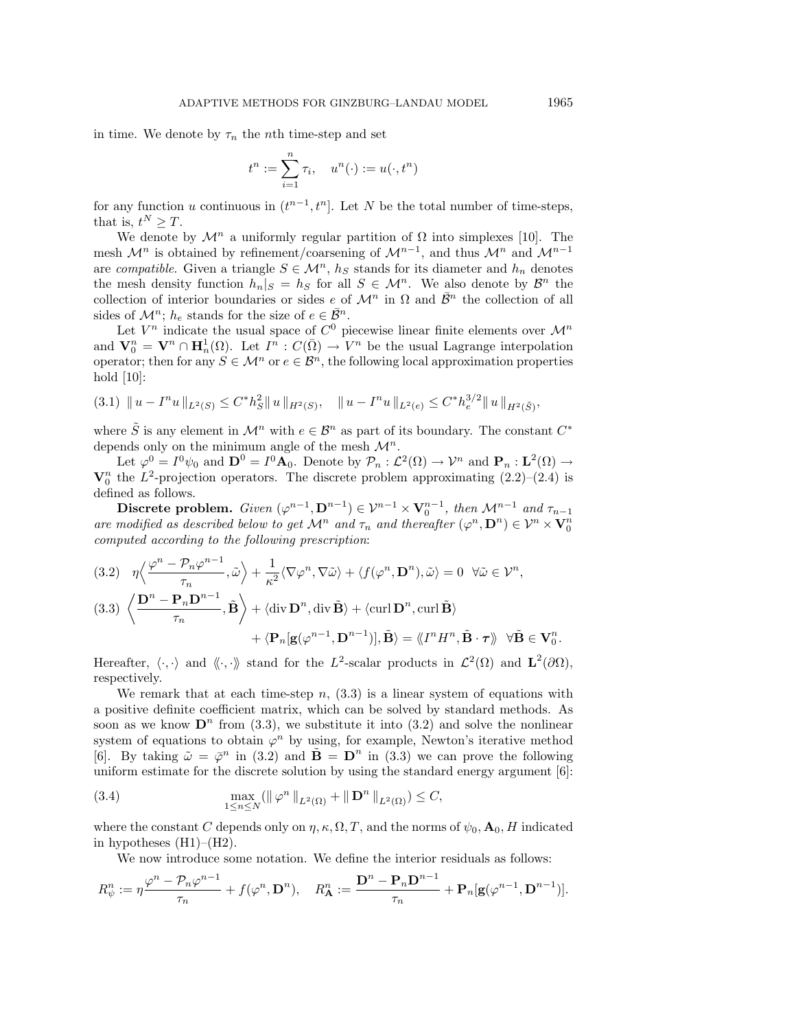in time. We denote by  $\tau_n$  the *n*th time-step and set

$$
t^n := \sum_{i=1}^n \tau_i, \quad u^n(\cdot) := u(\cdot, t^n)
$$

for any function u continuous in  $(t^{n-1}, t^n]$ . Let N be the total number of time-steps, that is,  $t^N \geq T$ .

We denote by  $\mathcal{M}^n$  a uniformly regular partition of  $\Omega$  into simplexes [10]. The mesh  $\mathcal{M}^n$  is obtained by refinement/coarsening of  $\mathcal{M}^{n-1}$ , and thus  $\mathcal{M}^n$  and  $\mathcal{M}^{n-1}$ are compatible. Given a triangle  $S \in \mathcal{M}^n$ ,  $h_S$  stands for its diameter and  $h_n$  denotes the mesh density function  $h_n|S = h_S$  for all  $S \in \mathcal{M}^n$ . We also denote by  $\mathcal{B}^n$  the collection of interior boundaries or sides e of  $\mathcal{M}^n$  in  $\Omega$  and  $\bar{\mathcal{B}}^n$  the collection of all sides of  $\mathcal{M}^n$ ;  $h_e$  stands for the size of  $e \in \overline{\mathcal{B}}^n$ .

Let  $V^n$  indicate the usual space of  $C^0$  piecewise linear finite elements over  $\mathcal{M}^n$ and  $\mathbf{V}_0^n = \mathbf{V}^n \cap \mathbf{H}_n^1(\Omega)$ . Let  $I^n : C(\overline{\Omega}) \to V^n$  be the usual Lagrange interpolation operator; then for any  $S \in \mathcal{M}^n$  or  $e \in \mathcal{B}^n$ , the following local approximation properties hold [10]:

$$
(3.1) \| u - In u \|_{L^{2}(S)} \leq C^{*} h_{S}^{2} \| u \|_{H^{2}(S)}, \| u - In u \|_{L^{2}(e)} \leq C^{*} h_{e}^{3/2} \| u \|_{H^{2}(\tilde{S})},
$$

where  $\tilde{S}$  is any element in  $\mathcal{M}^n$  with  $e \in \mathcal{B}^n$  as part of its boundary. The constant  $C^*$ depends only on the minimum angle of the mesh  $\mathcal{M}^n$ .

Let  $\varphi^0 = I^0 \psi_0$  and  $\mathbf{D}^0 = I^0 \mathbf{A}_0$ . Denote by  $\mathcal{P}_n : L^2(\Omega) \to \mathcal{V}^n$  and  $\mathbf{P}_n : L^2(\Omega) \to$  $\mathbf{V}_0^n$  the  $L^2$ -projection operators. The discrete problem approximating  $(2.2)$ – $(2.4)$  is defined as follows.

Discrete problem. Given  $(\varphi^{n-1}, \mathbf{D}^{n-1}) \in \mathcal{V}^{n-1} \times \mathbf{V}_0^{n-1}$ , then  $\mathcal{M}^{n-1}$  and  $\tau_{n-1}$ are modified as described below to get  $\mathcal{M}^n$  and  $\tau_n$  and thereafter  $(\varphi^n, \mathbf{D}^n) \in \mathcal{V}^n \times \mathbf{V}_0^n$ computed according to the following prescription:

$$
(3.2) \quad \eta \Big\langle \frac{\varphi^n - \mathcal{P}_n \varphi^{n-1}}{\tau_n}, \tilde{\omega} \Big\rangle + \frac{1}{\kappa^2} \langle \nabla \varphi^n, \nabla \tilde{\omega} \rangle + \langle f(\varphi^n, \mathbf{D}^n), \tilde{\omega} \rangle = 0 \quad \forall \tilde{\omega} \in \mathcal{V}^n,
$$
  

$$
(3.3) \quad \Big\langle \frac{\mathbf{D}^n - \mathbf{P}_n \mathbf{D}^{n-1}}{\tau_n}, \tilde{\mathbf{B}} \Big\rangle + \langle \operatorname{div} \mathbf{D}^n, \operatorname{div} \tilde{\mathbf{B}} \rangle + \langle \operatorname{curl} \mathbf{D}^n, \operatorname{curl} \tilde{\mathbf{B}} \rangle
$$
  

$$
+ \langle \mathbf{P}_n [\mathbf{g}(\varphi^{n-1}, \mathbf{D}^{n-1})], \tilde{\mathbf{B}} \rangle = \langle \langle I^n H^n, \tilde{\mathbf{B}} \cdot \boldsymbol{\tau} \rangle \rangle \quad \forall \tilde{\mathbf{B}} \in \mathbf{V}_0^n.
$$

Hereafter,  $\langle \cdot, \cdot \rangle$  and  $\langle \langle \cdot, \cdot \rangle$  stand for the L<sup>2</sup>-scalar products in  $\mathcal{L}^2(\Omega)$  and  $\mathbf{L}^2(\partial \Omega)$ , respectively.

We remark that at each time-step  $n$ ,  $(3.3)$  is a linear system of equations with a positive definite coefficient matrix, which can be solved by standard methods. As soon as we know  $\mathbf{D}^n$  from (3.3), we substitute it into (3.2) and solve the nonlinear system of equations to obtain  $\varphi^n$  by using, for example, Newton's iterative method [6]. By taking  $\tilde{\omega} = \bar{\varphi}^n$  in (3.2) and  $\tilde{\mathbf{B}} = \mathbf{D}^n$  in (3.3) we can prove the following uniform estimate for the discrete solution by using the standard energy argument [6]:

(3.4) 
$$
\max_{1 \leq n \leq N} (\|\varphi^n\|_{L^2(\Omega)} + \|\mathbf{D}^n\|_{L^2(\Omega)}) \leq C,
$$

where the constant C depends only on  $\eta$ ,  $\kappa$ ,  $\Omega$ , T, and the norms of  $\psi_0$ ,  $\mathbf{A}_0$ , H indicated in hypotheses  $(H1)–(H2)$ .

We now introduce some notation. We define the interior residuals as follows:

$$
R_{\psi}^{n} := \eta \frac{\varphi^{n} - \mathcal{P}_{n} \varphi^{n-1}}{\tau_{n}} + f(\varphi^{n}, \mathbf{D}^{n}), \quad R_{\mathbf{A}}^{n} := \frac{\mathbf{D}^{n} - \mathbf{P}_{n} \mathbf{D}^{n-1}}{\tau_{n}} + \mathbf{P}_{n}[\mathbf{g}(\varphi^{n-1}, \mathbf{D}^{n-1})].
$$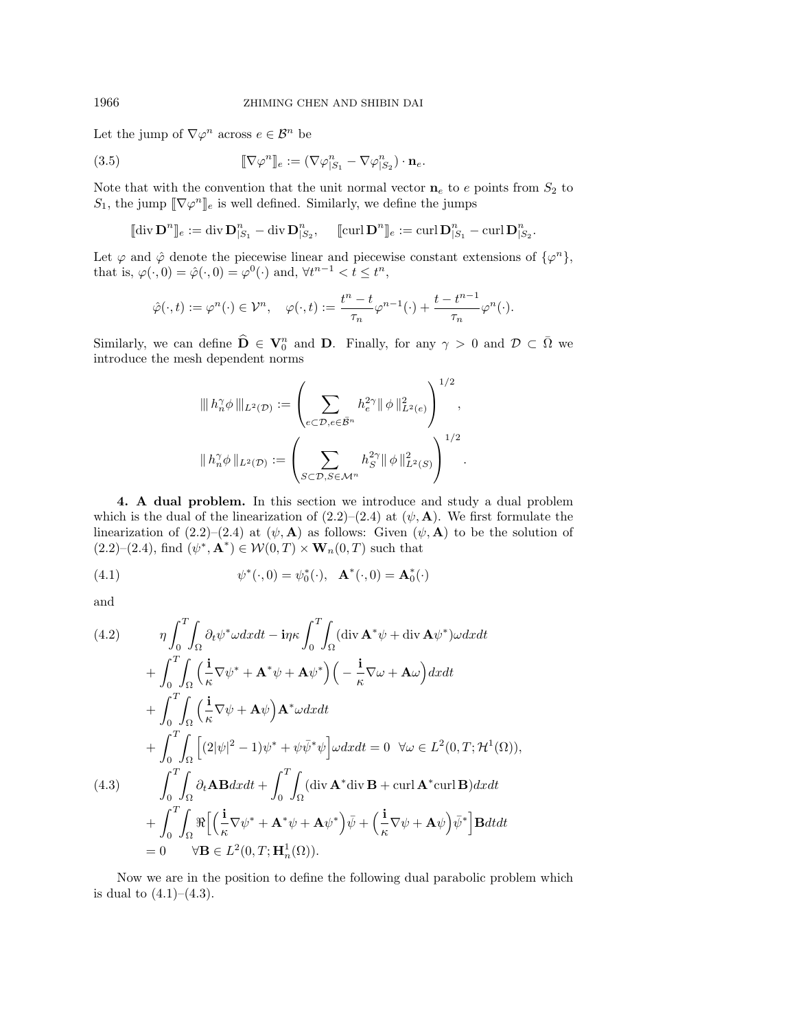Let the jump of  $\nabla \varphi^n$  across  $e \in \mathcal{B}^n$  be

(3.5) 
$$
\[\nabla \varphi^n\]_e := (\nabla \varphi^n_{|S_1} - \nabla \varphi^n_{|S_2}) \cdot \mathbf{n}_e.
$$

Note that with the convention that the unit normal vector  $\mathbf{n}_e$  to e points from  $S_2$  to  $S_1$ , the jump  $[\![\nabla \varphi^n]\!]_e$  is well defined. Similarly, we define the jumps

$$
[\![\mathop{\mathrm{div}}\nolimits \mathbf{D}^n]\!]_e := \mathop{\mathrm{div}}\nolimits \mathbf{D}^n_{|S_1} - \mathop{\mathrm{div}}\nolimits \mathbf{D}^n_{|S_2}, \quad [\![\mathop{\mathrm{curl}}\nolimits \mathbf{D}^n]\!]_e := \mathop{\mathrm{curl}}\nolimits \mathbf{D}^n_{|S_1} - \mathop{\mathrm{curl}}\nolimits \mathbf{D}^n_{|S_2}.
$$

Let  $\varphi$  and  $\hat{\varphi}$  denote the piecewise linear and piecewise constant extensions of  $\{\varphi^n\},$ that is,  $\varphi(\cdot,0) = \hat{\varphi}(\cdot,0) = \varphi^0(\cdot)$  and,  $\forall t^{n-1} < t \leq t^n$ ,

$$
\hat{\varphi}(\cdot,t) := \varphi^n(\cdot) \in \mathcal{V}^n, \quad \varphi(\cdot,t) := \frac{t^n - t}{\tau_n} \varphi^{n-1}(\cdot) + \frac{t - t^{n-1}}{\tau_n} \varphi^n(\cdot).
$$

Similarly, we can define  $\widehat{\mathbf{D}} \in \mathbf{V}_0^n$  and **D**. Finally, for any  $\gamma > 0$  and  $\mathcal{D} \subset \overline{\Omega}$  we introduce the mesh dependent norms

$$
\|h_n^{\gamma} \phi\|_{L^2(\mathcal{D})} := \left(\sum_{e \subset \mathcal{D}, e \in \bar{\mathcal{B}}^n} h_e^{2\gamma} \|\phi\|_{L^2(e)}^2\right)^{1/2},
$$
  

$$
\|h_n^{\gamma} \phi\|_{L^2(\mathcal{D})} := \left(\sum_{S \subset \mathcal{D}, S \in \mathcal{M}^n} h_S^{2\gamma} \|\phi\|_{L^2(S)}^2\right)^{1/2}.
$$

**4. A dual problem.** In this section we introduce and study a dual problem which is the dual of the linearization of  $(2.2)$ – $(2.4)$  at  $(\psi, \mathbf{A})$ . We first formulate the linearization of  $(2.2)$ – $(2.4)$  at  $(\psi, \mathbf{A})$  as follows: Given  $(\psi, \mathbf{A})$  to be the solution of  $(2.2)$ – $(2.4)$ , find  $(\psi^*, \mathbf{A}^*) \in \mathcal{W}(0,T) \times \mathbf{W}_n(0,T)$  such that

(4.1) 
$$
\psi^*(\cdot,0) = \psi_0^*(\cdot), \quad \mathbf{A}^*(\cdot,0) = \mathbf{A}_0^*(\cdot)
$$

and

(4.2) 
$$
\eta \int_0^T \int_{\Omega} \partial_t \psi^* \omega dx dt - i\eta \kappa \int_0^T \int_{\Omega} (div \mathbf{A}^* \psi + div \mathbf{A} \psi^*) \omega dx dt + \int_0^T \int_{\Omega} \left( \frac{i}{\kappa} \nabla \psi^* + \mathbf{A}^* \psi + \mathbf{A} \psi^* \right) \left( -\frac{i}{\kappa} \nabla \omega + \mathbf{A} \omega \right) dx dt + \int_0^T \int_{\Omega} \left( \frac{i}{\kappa} \nabla \psi + \mathbf{A} \psi \right) \mathbf{A}^* \omega dx dt + \int_0^T \int_{\Omega} \left[ (2|\psi|^2 - 1) \psi^* + \psi \bar{\psi}^* \psi \right] \omega dx dt = 0 \ \ \forall \omega \in L^2(0, T; \mathcal{H}^1(\Omega)), (4.3) \qquad \int_0^T \int_{\Omega} \partial_t \mathbf{A} \mathbf{B} dx dt + \int_0^T \int_{\Omega} (div \mathbf{A}^* \mathrm{div} \mathbf{B} + curl \mathbf{A}^* curl \mathbf{B}) dx dt + \int_0^T \int_{\Omega} \Re \left[ \left( \frac{i}{\kappa} \nabla \psi^* + \mathbf{A}^* \psi + \mathbf{A} \psi^* \right) \bar{\psi} + \left( \frac{i}{\kappa} \nabla \psi + \mathbf{A} \psi \right) \bar{\psi}^* \right] \mathbf{B} dt dt = 0 \quad \forall \mathbf{B} \in L^2(0, T; \mathbf{H}_n^1(\Omega)).
$$

Now we are in the position to define the following dual parabolic problem which is dual to  $(4.1)–(4.3)$ .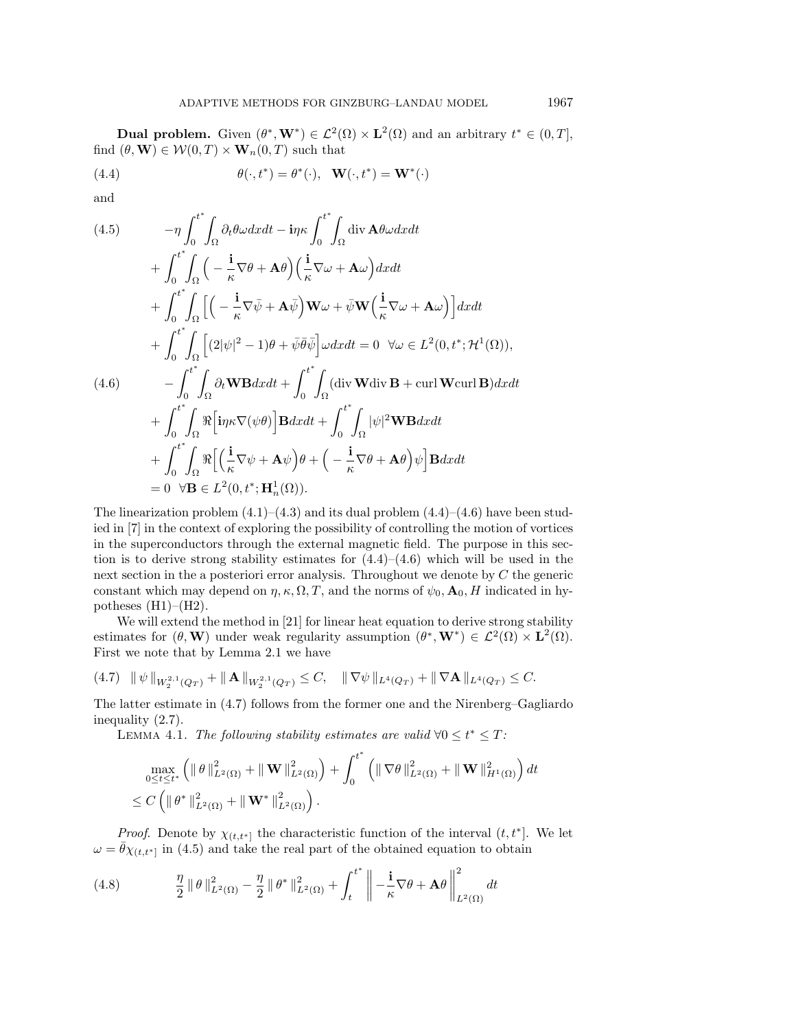**Dual problem.** Given  $(\theta^*, \mathbf{W}^*) \in \mathcal{L}^2(\Omega) \times \mathbf{L}^2(\Omega)$  and an arbitrary  $t^* \in (0, T]$ , find  $(\theta, \mathbf{W}) \in \mathcal{W}(0,T) \times \mathbf{W}_n(0,T)$  such that

(4.4) 
$$
\theta(\cdot, t^*) = \theta^*(\cdot), \quad \mathbf{W}(\cdot, t^*) = \mathbf{W}^*(\cdot)
$$

and

(4.5) 
$$
-\eta \int_0^{t^*} \int_{\Omega} \partial_t \theta \omega dx dt - i\eta \kappa \int_0^{t^*} \int_{\Omega} \text{div } \mathbf{A} \theta \omega dx dt + \int_0^{t^*} \int_{\Omega} \left( -\frac{i}{\kappa} \nabla \theta + \mathbf{A} \theta \right) \left( \frac{i}{\kappa} \nabla \omega + \mathbf{A} \omega \right) dx dt + \int_0^{t^*} \int_{\Omega} \left[ \left( -\frac{i}{\kappa} \nabla \bar{\psi} + \mathbf{A} \bar{\psi} \right) \mathbf{W} \omega + \bar{\psi} \mathbf{W} \left( \frac{i}{\kappa} \nabla \omega + \mathbf{A} \omega \right) \right] dx dt + \int_0^{t^*} \int_{\Omega} \left[ (2|\psi|^2 - 1)\theta + \bar{\psi} \bar{\theta} \bar{\psi} \right] \omega dx dt = 0 \ \forall \omega \in L^2(0, t^*; \mathcal{H}^1(\Omega)), (4.6) 
$$
- \int_0^{t^*} \int_{\Omega} \partial_t \mathbf{W} \mathbf{B} dx dt + \int_0^{t^*} \int_{\Omega} (\text{div } \mathbf{W} \text{div } \mathbf{B} + \text{curl } \mathbf{W} \text{curl } \mathbf{B}) dx dt + \int_0^{t^*} \int_{\Omega} \Re \left[ i\eta \kappa \nabla (\psi \theta) \right] \mathbf{B} dx dt + \int_0^{t^*} \int_{\Omega} |\psi|^2 \mathbf{W} \mathbf{B} dx dt + \int_0^{t^*} \int_{\Omega} \Re \left[ \left( \frac{i}{\kappa} \nabla \psi + \mathbf{A} \psi \right) \theta + \left( -\frac{i}{\kappa} \nabla \theta + \mathbf{A} \theta \right) \psi \right] \mathbf{B} dx dt = 0 \ \forall \mathbf{B} \in L^2(0, t^*; \mathbf{H}_n^1(\Omega)).
$$
$$

The linearization problem  $(4.1)$ – $(4.3)$  and its dual problem  $(4.4)$ – $(4.6)$  have been studied in [7] in the context of exploring the possibility of controlling the motion of vortices in the superconductors through the external magnetic field. The purpose in this section is to derive strong stability estimates for  $(4.4)$ – $(4.6)$  which will be used in the next section in the a posteriori error analysis. Throughout we denote by C the generic constant which may depend on  $\eta$ ,  $\kappa$ ,  $\Omega$ ,  $T$ , and the norms of  $\psi_0$ ,  $\mathbf{A}_0$ ,  $H$  indicated in hypotheses  $(H1)–(H2)$ .

We will extend the method in [21] for linear heat equation to derive strong stability estimates for  $(\theta, \mathbf{W})$  under weak regularity assumption  $(\theta^*, \mathbf{W}^*) \in \mathcal{L}^2(\Omega) \times \mathbf{L}^2(\Omega)$ . First we note that by Lemma 2.1 we have

$$
(4.7) \|\psi\|_{W_2^{2,1}(Q_T)} + \|\mathbf{A}\|_{W_2^{2,1}(Q_T)} \leq C, \|\nabla \psi\|_{L^4(Q_T)} + \|\nabla \mathbf{A}\|_{L^4(Q_T)} \leq C.
$$

The latter estimate in  $(4.7)$  follows from the former one and the Nirenberg–Gagliardo inequality (2.7).

LEMMA 4.1. The following stability estimates are valid  $\forall 0 \leq t^* \leq T$ :

$$
\max_{0 \le t \le t^*} \left( \|\theta\|_{L^2(\Omega)}^2 + \|\mathbf{W}\|_{L^2(\Omega)}^2 \right) + \int_0^{t^*} \left( \|\nabla\theta\|_{L^2(\Omega)}^2 + \|\mathbf{W}\|_{H^1(\Omega)}^2 \right) dt
$$
  

$$
\le C \left( \|\theta^*\|_{L^2(\Omega)}^2 + \|\mathbf{W}^*\|_{L^2(\Omega)}^2 \right).
$$

*Proof.* Denote by  $\chi_{(t,t^*)}$  the characteristic function of the interval  $(t, t^*)$ . We let  $\omega = \bar{\theta} \chi_{(t,t^*)}$  in (4.5) and take the real part of the obtained equation to obtain

(4.8) 
$$
\frac{\eta}{2} \|\theta\|_{L^2(\Omega)}^2 - \frac{\eta}{2} \|\theta^*\|_{L^2(\Omega)}^2 + \int_t^{t^*} \left\| -\frac{\mathbf{i}}{\kappa} \nabla \theta + \mathbf{A} \theta \right\|_{L^2(\Omega)}^2 dt
$$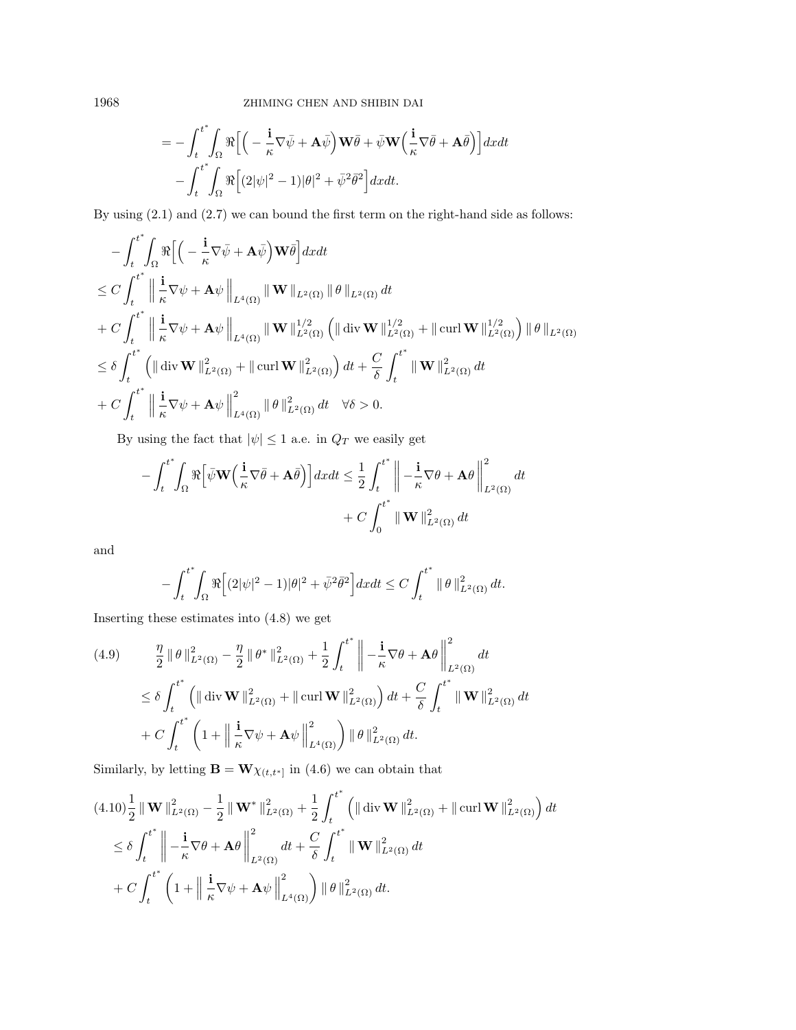1968 ZHIMING CHEN AND SHIBIN DAI

$$
= -\int_{t}^{t^{*}} \int_{\Omega} \Re \Big[ \Big( -\frac{\mathbf{i}}{\kappa} \nabla \bar{\psi} + \mathbf{A} \bar{\psi} \Big) \mathbf{W} \bar{\theta} + \bar{\psi} \mathbf{W} \Big( \frac{\mathbf{i}}{\kappa} \nabla \bar{\theta} + \mathbf{A} \bar{\theta} \Big) \Big] dx dt - \int_{t}^{t^{*}} \int_{\Omega} \Re \Big[ (2|\psi|^{2} - 1)|\theta|^{2} + \bar{\psi}^{2} \bar{\theta}^{2} \Big] dx dt.
$$

By using  $(2.1)$  and  $(2.7)$  we can bound the first term on the right-hand side as follows:

$$
- \int_{t}^{t^{*}} \int_{\Omega} \Re \Big[ \Big( -\frac{\mathbf{i}}{\kappa} \nabla \bar{\psi} + \mathbf{A} \bar{\psi} \Big) \mathbf{W} \bar{\theta} \Big] dx dt
$$
  
\n
$$
\leq C \int_{t}^{t^{*}} \Big\| \frac{\mathbf{i}}{\kappa} \nabla \psi + \mathbf{A} \psi \Big\|_{L^{4}(\Omega)} \|\mathbf{W}\|_{L^{2}(\Omega)} \|\theta\|_{L^{2}(\Omega)} dt
$$
  
\n
$$
+ C \int_{t}^{t^{*}} \Big\| \frac{\mathbf{i}}{\kappa} \nabla \psi + \mathbf{A} \psi \Big\|_{L^{4}(\Omega)} \|\mathbf{W}\|_{L^{2}(\Omega)}^{1/2} \Big( \|\operatorname{div} \mathbf{W}\|_{L^{2}(\Omega)}^{1/2} + \|\operatorname{curl} \mathbf{W}\|_{L^{2}(\Omega)}^{1/2} \Big) \|\theta\|_{L^{2}(\Omega)}
$$
  
\n
$$
\leq \delta \int_{t}^{t^{*}} \Big( \|\operatorname{div} \mathbf{W}\|_{L^{2}(\Omega)}^{2} + \|\operatorname{curl} \mathbf{W}\|_{L^{2}(\Omega)}^{2} \Big) dt + \frac{C}{\delta} \int_{t}^{t^{*}} \|\mathbf{W}\|_{L^{2}(\Omega)}^{2} dt
$$
  
\n
$$
+ C \int_{t}^{t^{*}} \Big\| \frac{\mathbf{i}}{\kappa} \nabla \psi + \mathbf{A} \psi \Big\|_{L^{4}(\Omega)}^{2} \|\theta\|_{L^{2}(\Omega)}^{2} dt \quad \forall \delta > 0.
$$

By using the fact that  $|\psi|\leq 1$  a.e. in  $Q_T$  we easily get

$$
-\int_{t}^{t^{*}}\int_{\Omega}\Re\Big[\bar{\psi}\mathbf{W}\Big(\frac{\mathbf{i}}{\kappa}\nabla\bar{\theta}+\mathbf{A}\bar{\theta}\Big)\Big]dxdt \leq \frac{1}{2}\int_{t}^{t^{*}}\left\|-\frac{\mathbf{i}}{\kappa}\nabla\theta+\mathbf{A}\theta\right\|_{L^{2}(\Omega)}^{2}dt
$$

$$
+C\int_{0}^{t^{*}}\|\mathbf{W}\|_{L^{2}(\Omega)}^{2}dt
$$

and

$$
-\int_{t}^{t^*} \int_{\Omega} \Re \Big[ (2|\psi|^2 - 1) |\theta|^2 + \bar{\psi}^2 \bar{\theta}^2 \Big] dx dt \le C \int_{t}^{t^*} ||\theta||_{L^2(\Omega)}^2 dt.
$$

Inserting these estimates into  $(4.8)$  we get

$$
(4.9) \qquad \frac{\eta}{2} \|\theta\|_{L^{2}(\Omega)}^{2} - \frac{\eta}{2} \|\theta^{*}\|_{L^{2}(\Omega)}^{2} + \frac{1}{2} \int_{t}^{t^{*}} \left\| -\frac{\mathbf{i}}{\kappa} \nabla \theta + \mathbf{A} \theta \right\|_{L^{2}(\Omega)}^{2} dt
$$
  

$$
\leq \delta \int_{t}^{t^{*}} \left( \|\operatorname{div} \mathbf{W}\|_{L^{2}(\Omega)}^{2} + \|\operatorname{curl} \mathbf{W}\|_{L^{2}(\Omega)}^{2} \right) dt + \frac{C}{\delta} \int_{t}^{t^{*}} \|\mathbf{W}\|_{L^{2}(\Omega)}^{2} dt
$$
  

$$
+ C \int_{t}^{t^{*}} \left( 1 + \left\| \frac{\mathbf{i}}{\kappa} \nabla \psi + \mathbf{A} \psi \right\|_{L^{4}(\Omega)}^{2} \right) \|\theta\|_{L^{2}(\Omega)}^{2} dt.
$$

Similarly, by letting **B** =  $\mathbf{W}\chi_{(t,t^*]}$  in (4.6) we can obtain that

$$
(4.10)\frac{1}{2} \parallel \mathbf{W} \parallel_{L^{2}(\Omega)}^{2} - \frac{1}{2} \parallel \mathbf{W}^{*} \parallel_{L^{2}(\Omega)}^{2} + \frac{1}{2} \int_{t}^{t^{*}} \left( \|\operatorname{div} \mathbf{W} \|_{L^{2}(\Omega)}^{2} + \|\operatorname{curl} \mathbf{W} \|_{L^{2}(\Omega)}^{2} \right) dt
$$
  
\n
$$
\leq \delta \int_{t}^{t^{*}} \left\| -\frac{\mathbf{i}}{\kappa} \nabla \theta + \mathbf{A} \theta \right\|_{L^{2}(\Omega)}^{2} dt + \frac{C}{\delta} \int_{t}^{t^{*}} \parallel \mathbf{W} \parallel_{L^{2}(\Omega)}^{2} dt
$$
  
\n
$$
+ C \int_{t}^{t^{*}} \left( 1 + \left\| \frac{\mathbf{i}}{\kappa} \nabla \psi + \mathbf{A} \psi \right\|_{L^{4}(\Omega)}^{2} \right) \parallel \theta \parallel_{L^{2}(\Omega)}^{2} dt.
$$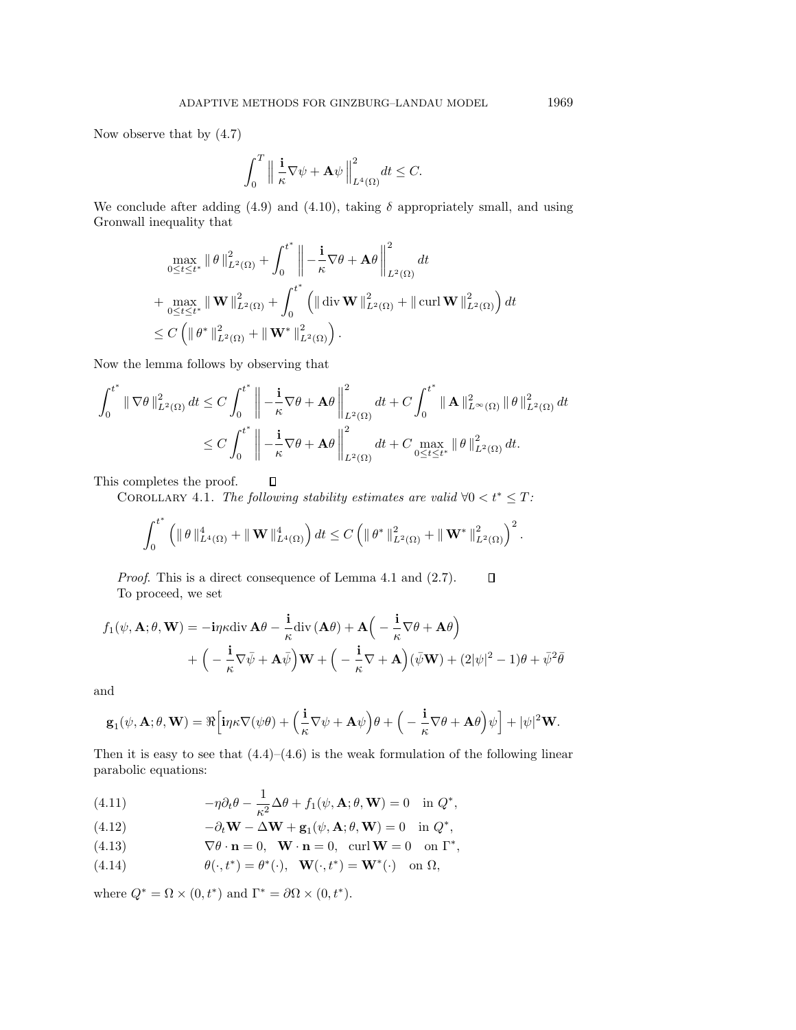Now observe that by (4.7)

$$
\int_0^T \left\| \frac{\mathbf{i}}{\kappa} \nabla \psi + \mathbf{A} \psi \right\|_{L^4(\Omega)}^2 dt \le C.
$$

We conclude after adding (4.9) and (4.10), taking  $\delta$  appropriately small, and using Gronwall inequality that

$$
\max_{0 \le t \le t^*} \|\theta\|_{L^2(\Omega)}^2 + \int_0^{t^*} \left\| -\frac{\mathbf{i}}{\kappa} \nabla \theta + \mathbf{A} \theta \right\|_{L^2(\Omega)}^2 dt \n+ \max_{0 \le t \le t^*} \|\mathbf{W}\|_{L^2(\Omega)}^2 + \int_0^{t^*} \left( \|\operatorname{div} \mathbf{W}\|_{L^2(\Omega)}^2 + \|\operatorname{curl} \mathbf{W}\|_{L^2(\Omega)}^2 \right) dt \n\le C \left( \|\theta^*\|_{L^2(\Omega)}^2 + \|\mathbf{W}^*\|_{L^2(\Omega)}^2 \right).
$$

Now the lemma follows by observing that

$$
\int_{0}^{t^{*}} \|\nabla \theta\|_{L^{2}(\Omega)}^{2} dt \leq C \int_{0}^{t^{*}} \left\| -\frac{\mathbf{i}}{\kappa} \nabla \theta + \mathbf{A} \theta \right\|_{L^{2}(\Omega)}^{2} dt + C \int_{0}^{t^{*}} \|\mathbf{A}\|_{L^{\infty}(\Omega)}^{2} \|\theta\|_{L^{2}(\Omega)}^{2} dt \n\leq C \int_{0}^{t^{*}} \left\| -\frac{\mathbf{i}}{\kappa} \nabla \theta + \mathbf{A} \theta \right\|_{L^{2}(\Omega)}^{2} dt + C \max_{0 \leq t \leq t^{*}} \|\theta\|_{L^{2}(\Omega)}^{2} dt.
$$

This completes the proof.  $\Box$ 

COROLLARY 4.1. The following stability estimates are valid  $\forall 0 < t^* \leq T$ :

$$
\int_0^{t^*} \left( \|\theta\|_{L^4(\Omega)}^4 + \|\mathbf{W}\|_{L^4(\Omega)}^4 \right) dt \leq C \left( \|\theta^*\|_{L^2(\Omega)}^2 + \|\mathbf{W}^*\|_{L^2(\Omega)}^2 \right)^2.
$$

Proof. This is a direct consequence of Lemma 4.1 and (2.7).  $\Box$ To proceed, we set

$$
f_1(\psi, \mathbf{A}; \theta, \mathbf{W}) = -i\eta \kappa \text{div } \mathbf{A}\theta - \frac{i}{\kappa} \text{div } (\mathbf{A}\theta) + \mathbf{A} \left( -\frac{i}{\kappa} \nabla \theta + \mathbf{A}\theta \right) + \left( -\frac{i}{\kappa} \nabla \bar{\psi} + \mathbf{A}\bar{\psi} \right) \mathbf{W} + \left( -\frac{i}{\kappa} \nabla + \mathbf{A} \right) (\bar{\psi} \mathbf{W}) + (2|\psi|^2 - 1)\theta + \bar{\psi}^2 \bar{\theta}
$$

and

$$
\mathbf{g}_1(\psi, \mathbf{A}; \theta, \mathbf{W}) = \Re \Big[ i \eta \kappa \nabla (\psi \theta) + \Big( \frac{i}{\kappa} \nabla \psi + \mathbf{A} \psi \Big) \theta + \Big( -\frac{i}{\kappa} \nabla \theta + \mathbf{A} \theta \Big) \psi \Big] + |\psi|^2 \mathbf{W}.
$$

Then it is easy to see that  $(4.4)$ – $(4.6)$  is the weak formulation of the following linear parabolic equations:

(4.11) 
$$
-\eta \partial_t \theta - \frac{1}{\kappa^2} \Delta \theta + f_1(\psi, \mathbf{A}; \theta, \mathbf{W}) = 0 \text{ in } Q^*,
$$

(4.12) 
$$
-\partial_t \mathbf{W} - \Delta \mathbf{W} + \mathbf{g}_1(\psi, \mathbf{A}; \theta, \mathbf{W}) = 0 \text{ in } Q^*,
$$

(4.13) 
$$
\nabla \theta \cdot \mathbf{n} = 0, \quad \mathbf{W} \cdot \mathbf{n} = 0, \quad \text{curl } \mathbf{W} = 0 \quad \text{on } \Gamma^*,
$$

(4.14)  $\theta(\cdot, t^*) = \theta^*(\cdot), \quad \mathbf{W}(\cdot, t^*) = \mathbf{W}^*(\cdot) \quad \text{on } \Omega,$ 

where  $Q^* = \Omega \times (0, t^*)$  and  $\Gamma^* = \partial \Omega \times (0, t^*)$ .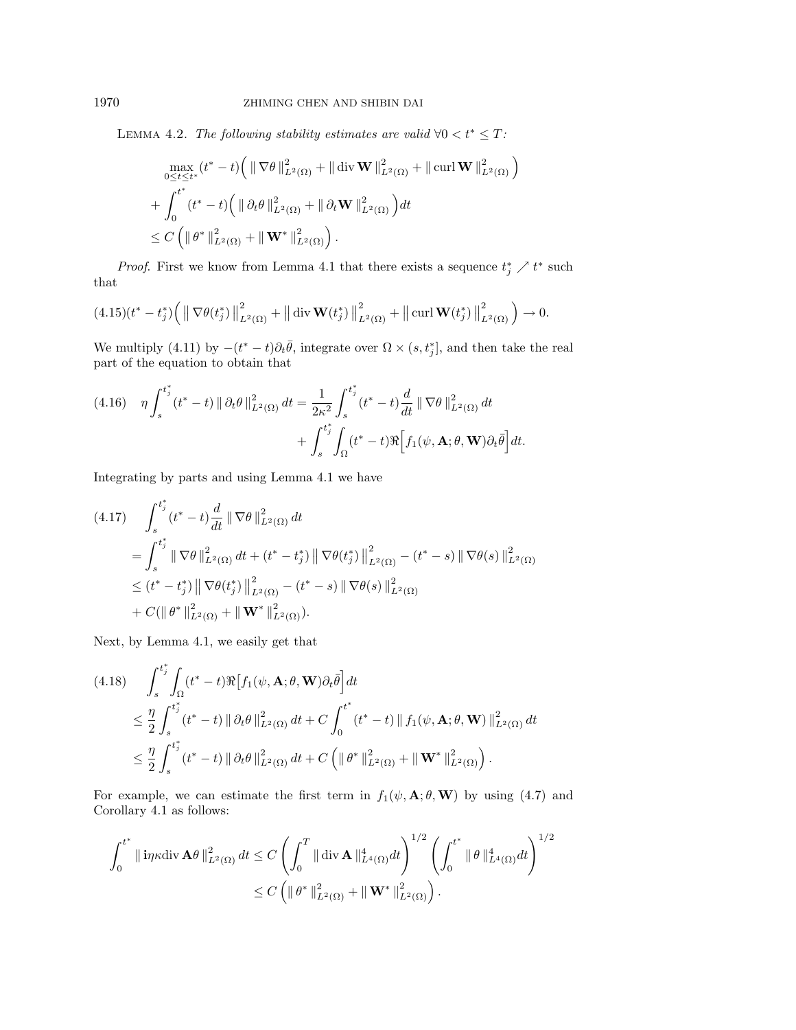LEMMA 4.2. The following stability estimates are valid  $\forall 0 < t^* \leq T$ :

$$
\max_{0 \le t \le t^*} (t^* - t) \left( \|\nabla \theta\|_{L^2(\Omega)}^2 + \|\operatorname{div} \mathbf{W}\|_{L^2(\Omega)}^2 + \|\operatorname{curl} \mathbf{W}\|_{L^2(\Omega)}^2 \right) + \int_0^{t^*} (t^* - t) \left( \|\partial_t \theta\|_{L^2(\Omega)}^2 + \|\partial_t \mathbf{W}\|_{L^2(\Omega)}^2 \right) dt \le C \left( \|\theta^*\|_{L^2(\Omega)}^2 + \|\mathbf{W}^*\|_{L^2(\Omega)}^2 \right).
$$

*Proof.* First we know from Lemma 4.1 that there exists a sequence  $t_j^* \nearrow t^*$  such that

$$
(4.15)(t^* - t_j^*) \Big( \left\| \nabla \theta(t_j^*) \right\|_{L^2(\Omega)}^2 + \left\| \text{div } \mathbf{W}(t_j^*) \right\|_{L^2(\Omega)}^2 + \left\| \text{curl } \mathbf{W}(t_j^*) \right\|_{L^2(\Omega)}^2 \Big) \to 0.
$$

We multiply (4.11) by  $-(t^* - t)\partial_t \bar{\theta}$ , integrate over  $\Omega \times (s, t_j^*]$ , and then take the real part of the equation to obtain that

$$
(4.16) \quad \eta \int_{s}^{t_{j}^{*}} (t^{*}-t) \left\|\partial_{t} \theta\right\|^{2}_{L^{2}(\Omega)} dt = \frac{1}{2\kappa^{2}} \int_{s}^{t_{j}^{*}} (t^{*}-t) \frac{d}{dt} \left\|\nabla \theta\right\|^{2}_{L^{2}(\Omega)} dt + \int_{s}^{t_{j}^{*}} \int_{\Omega} (t^{*}-t) \Re\left[f_{1}(\psi, \mathbf{A}; \theta, \mathbf{W}) \partial_{t} \bar{\theta}\right] dt.
$$

Integrating by parts and using Lemma 4.1 we have

$$
(4.17) \int_{s}^{t_{j}^{*}} (t^{*} - t) \frac{d}{dt} \|\nabla \theta\|_{L^{2}(\Omega)}^{2} dt
$$
  
\n
$$
= \int_{s}^{t_{j}^{*}} \|\nabla \theta\|_{L^{2}(\Omega)}^{2} dt + (t^{*} - t_{j}^{*}) \|\nabla \theta(t_{j}^{*})\|_{L^{2}(\Omega)}^{2} - (t^{*} - s) \|\nabla \theta(s)\|_{L^{2}(\Omega)}^{2}
$$
  
\n
$$
\leq (t^{*} - t_{j}^{*}) \|\nabla \theta(t_{j}^{*})\|_{L^{2}(\Omega)}^{2} - (t^{*} - s) \|\nabla \theta(s)\|_{L^{2}(\Omega)}^{2}
$$
  
\n
$$
+ C(\|\theta^{*}\|_{L^{2}(\Omega)}^{2} + \|\mathbf{W}^{*}\|_{L^{2}(\Omega)}^{2}).
$$

Next, by Lemma 4.1, we easily get that

$$
(4.18) \quad \int_{s}^{t_{j}^{*}} \int_{\Omega} (t^{*} - t) \Re[f_{1}(\psi, \mathbf{A}; \theta, \mathbf{W}) \partial_{t} \bar{\theta}] dt
$$
  
\n
$$
\leq \frac{\eta}{2} \int_{s}^{t_{j}^{*}} (t^{*} - t) \|\partial_{t} \theta\|_{L^{2}(\Omega)}^{2} dt + C \int_{0}^{t^{*}} (t^{*} - t) \|f_{1}(\psi, \mathbf{A}; \theta, \mathbf{W})\|_{L^{2}(\Omega)}^{2} dt
$$
  
\n
$$
\leq \frac{\eta}{2} \int_{s}^{t_{j}^{*}} (t^{*} - t) \|\partial_{t} \theta\|_{L^{2}(\Omega)}^{2} dt + C \left( \|\theta^{*}\|_{L^{2}(\Omega)}^{2} + \|\mathbf{W}^{*}\|_{L^{2}(\Omega)}^{2} \right).
$$

For example, we can estimate the first term in  $f_1(\psi, \mathbf{A}; \theta, \mathbf{W})$  by using (4.7) and Corollary 4.1 as follows:

$$
\int_0^{t^*} \|\mathbf{i}\eta\kappa \mathrm{div}\,\mathbf{A}\theta\|_{L^2(\Omega)}^2 dt \le C \left( \int_0^T \|\mathbf{div}\,\mathbf{A}\|_{L^4(\Omega)}^4 dt \right)^{1/2} \left( \int_0^{t^*} \|\theta\|_{L^4(\Omega)}^4 dt \right)^{1/2} \le C \left( \|\theta^*\|_{L^2(\Omega)}^2 + \|\mathbf{W}^*\|_{L^2(\Omega)}^2 \right).
$$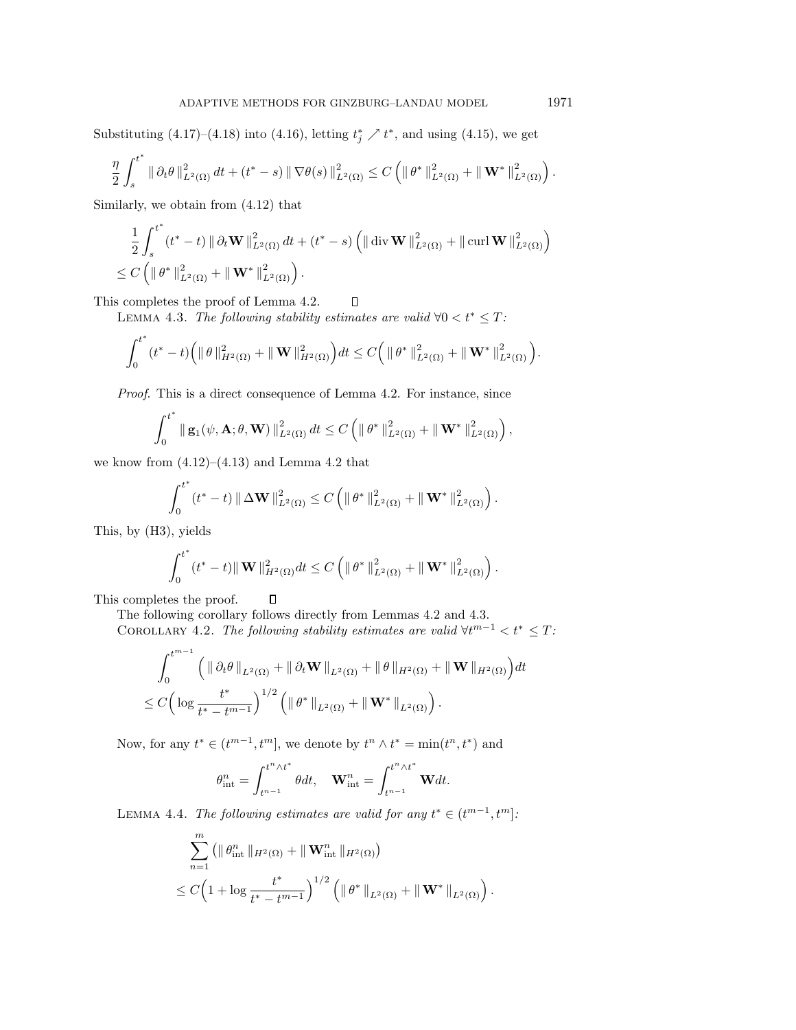Substituting  $(4.17)$ – $(4.18)$  into  $(4.16)$ , letting  $t_j^* \nearrow t^*$ , and using  $(4.15)$ , we get

$$
\frac{\eta}{2} \int_s^{t^*} \|\partial_t \theta\|_{L^2(\Omega)}^2 dt + (t^* - s) \|\nabla \theta(s)\|_{L^2(\Omega)}^2 \leq C \left( \|\theta^*\|_{L^2(\Omega)}^2 + \|\mathbf{W}^*\|_{L^2(\Omega)}^2 \right).
$$

Similarly, we obtain from  $(4.12)$  that

$$
\frac{1}{2} \int_{s}^{t^{*}} (t^{*} - t) \|\partial_{t} \mathbf{W}\|_{L^{2}(\Omega)}^{2} dt + (t^{*} - s) \left( \|\operatorname{div} \mathbf{W}\|_{L^{2}(\Omega)}^{2} + \|\operatorname{curl} \mathbf{W}\|_{L^{2}(\Omega)}^{2} \right)
$$
  

$$
\leq C \left( \|\theta^{*}\|_{L^{2}(\Omega)}^{2} + \|\mathbf{W}^{*}\|_{L^{2}(\Omega)}^{2} \right).
$$

 $\Box$ 

This completes the proof of Lemma 4.2.

LEMMA 4.3. The following stability estimates are valid  $\forall 0 < t^* \leq T$ :

$$
\int_0^{t^*} (t^* - t) \Big( \|\theta\|_{H^2(\Omega)}^2 + \|\mathbf{W}\|_{H^2(\Omega)}^2 \Big) dt \leq C \Big( \|\theta^*\|_{L^2(\Omega)}^2 + \|\mathbf{W}^*\|_{L^2(\Omega)}^2 \Big).
$$

Proof. This is a direct consequence of Lemma 4.2. For instance, since

$$
\int_0^{t^*} \|\mathbf{g}_1(\psi,\mathbf{A};\theta,\mathbf{W})\|_{L^2(\Omega)}^2 dt \leq C \left( \|\theta^*\|_{L^2(\Omega)}^2 + \|\mathbf{W}^*\|_{L^2(\Omega)}^2 \right),
$$

we know from  $(4.12)$ – $(4.13)$  and Lemma 4.2 that

$$
\int_0^{t^*} (t^* - t) \|\Delta \mathbf{W}\|_{L^2(\Omega)}^2 \leq C \left( \|\theta^*\|_{L^2(\Omega)}^2 + \|\mathbf{W}^*\|_{L^2(\Omega)}^2 \right).
$$

This, by (H3), yields

$$
\int_0^{t^*} (t^* - t) \| \mathbf{W} \|^2_{H^2(\Omega)} dt \leq C \left( \| \theta^* \|^2_{L^2(\Omega)} + \| \mathbf{W}^* \|^2_{L^2(\Omega)} \right).
$$

 $\Box$ This completes the proof.

The following corollary follows directly from Lemmas 4.2 and 4.3.

COROLLARY 4.2. The following stability estimates are valid  $\forall t^{m-1} < t^* \leq T$ :

$$
\int_0^{t^{m-1}} \left( \|\partial_t \theta\|_{L^2(\Omega)} + \|\partial_t \mathbf{W}\|_{L^2(\Omega)} + \|\theta\|_{H^2(\Omega)} + \|\mathbf{W}\|_{H^2(\Omega)} \right) dt
$$
  

$$
\leq C \Big( \log \frac{t^*}{t^* - t^{m-1}} \Big)^{1/2} \left( \|\theta^*\|_{L^2(\Omega)} + \|\mathbf{W}^*\|_{L^2(\Omega)} \right).
$$

Now, for any  $t^* \in (t^{m-1}, t^m]$ , we denote by  $t^n \wedge t^* = \min(t^n, t^*)$  and

$$
\theta_{\text{int}}^n = \int_{t^{n-1}}^{t^n \wedge t^*} \theta dt, \quad \mathbf{W}_{\text{int}}^n = \int_{t^{n-1}}^{t^n \wedge t^*} \mathbf{W} dt.
$$

LEMMA 4.4. The following estimates are valid for any  $t^* \in (t^{m-1}, t^m]$ :

$$
\sum_{n=1}^{m} (\| \theta_{\text{int}}^{n} \|_{H^{2}(\Omega)} + \| \mathbf{W}_{\text{int}}^{n} \|_{H^{2}(\Omega)})
$$
  
\n
$$
\leq C \Big( 1 + \log \frac{t^{*}}{t^{*} - t^{m-1}} \Big)^{1/2} \Big( \| \theta^{*} \|_{L^{2}(\Omega)} + \| \mathbf{W}^{*} \|_{L^{2}(\Omega)} \Big).
$$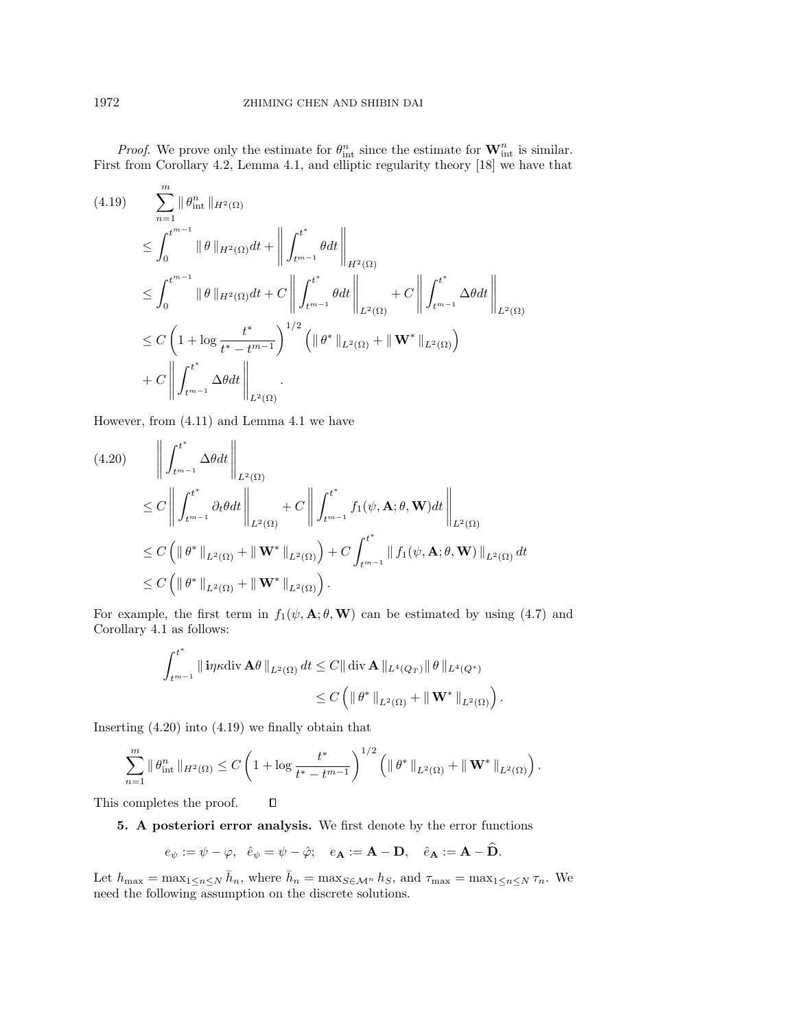*Proof.* We prove only the estimate for  $\theta_{\text{int}}^n$  since the estimate for  $\mathbf{W}_{\text{int}}^n$  is similar. First from Corollary 4.2, Lemma 4.1, and elliptic regularity theory [18] we have that

$$
(4.19) \quad \sum_{n=1}^{m} \|\theta_{\text{int}}^{n}\|_{H^{2}(\Omega)} \leq \int_{0}^{t^{m-1}} \|\theta\|_{H^{2}(\Omega)} dt + \left\| \int_{t^{m-1}}^{t^{*}} \theta dt \right\|_{H^{2}(\Omega)} \leq \int_{0}^{t^{m-1}} \|\theta\|_{H^{2}(\Omega)} dt + C \left\| \int_{t^{m-1}}^{t^{*}} \theta dt \right\|_{L^{2}(\Omega)} + C \left\| \int_{t^{m-1}}^{t^{*}} \Delta \theta dt \right\|_{L^{2}(\Omega)} \leq C \left( 1 + \log \frac{t^{*}}{t^{*} - t^{m-1}} \right)^{1/2} \left( \|\theta^{*}\|_{L^{2}(\Omega)} + \|\mathbf{W}^{*}\|_{L^{2}(\Omega)} \right) \right. \\ \left. + C \left\| \int_{t^{m-1}}^{t^{*}} \Delta \theta dt \right\|_{L^{2}(\Omega)}.
$$

However, from  $(4.11)$  and Lemma 4.1 we have

$$
(4.20) \qquad \left\| \int_{t^{m-1}}^{t^*} \Delta \theta dt \right\|_{L^2(\Omega)}
$$
  
\n
$$
\leq C \left\| \int_{t^{m-1}}^{t^*} \partial_t \theta dt \right\|_{L^2(\Omega)} + C \left\| \int_{t^{m-1}}^{t^*} f_1(\psi, \mathbf{A}; \theta, \mathbf{W}) dt \right\|_{L^2(\Omega)}
$$
  
\n
$$
\leq C \left( \|\theta^*\|_{L^2(\Omega)} + \|\mathbf{W}^*\|_{L^2(\Omega)} \right) + C \int_{t^{m-1}}^{t^*} \|f_1(\psi, \mathbf{A}; \theta, \mathbf{W})\|_{L^2(\Omega)} dt
$$
  
\n
$$
\leq C \left( \|\theta^*\|_{L^2(\Omega)} + \|\mathbf{W}^*\|_{L^2(\Omega)} \right).
$$

For example, the first term in  $f_1(\psi, \mathbf{A}; \theta, \mathbf{W})$  can be estimated by using (4.7) and Corollary 4.1 as follows:

$$
\int_{t^{m-1}}^{t^*} \|\mathbf{i}\eta \kappa \mathrm{div}\,\mathbf{A}\theta\|_{L^2(\Omega)} \, dt \leq C \|\mathbf{div}\,\mathbf{A}\|_{L^4(Q_T)} \|\theta\|_{L^4(Q^*)}
$$
  

$$
\leq C \left( \|\theta^*\|_{L^2(\Omega)} + \|\mathbf{W}^*\|_{L^2(\Omega)} \right).
$$

Inserting  $(4.20)$  into  $(4.19)$  we finally obtain that

$$
\sum_{n=1}^m \|\theta_{\text{int}}^n\|_{H^2(\Omega)} \le C \left(1 + \log \frac{t^*}{t^* - t^{m-1}}\right)^{1/2} \left(\|\theta^*\|_{L^2(\Omega)} + \|\mathbf{W}^*\|_{L^2(\Omega)}\right).
$$

This completes the proof.  $\Box$ 

**5. A posteriori error analysis.** We first denote by the error functions

 $e_{\psi} := \psi - \varphi, \quad \hat{e}_{\psi} = \psi - \hat{\varphi}; \quad e_{\mathbf{A}} := \mathbf{A} - \mathbf{D}, \quad \hat{e}_{\mathbf{A}} := \mathbf{A} - \widehat{\mathbf{D}}.$ 

Let  $h_{\max} = \max_{1 \le n \le N} \bar{h}_n$ , where  $\bar{h}_n = \max_{S \in \mathcal{M}^n} h_S$ , and  $\tau_{\max} = \max_{1 \le n \le N} \tau_n$ . We need the following assumption on the discrete solutions.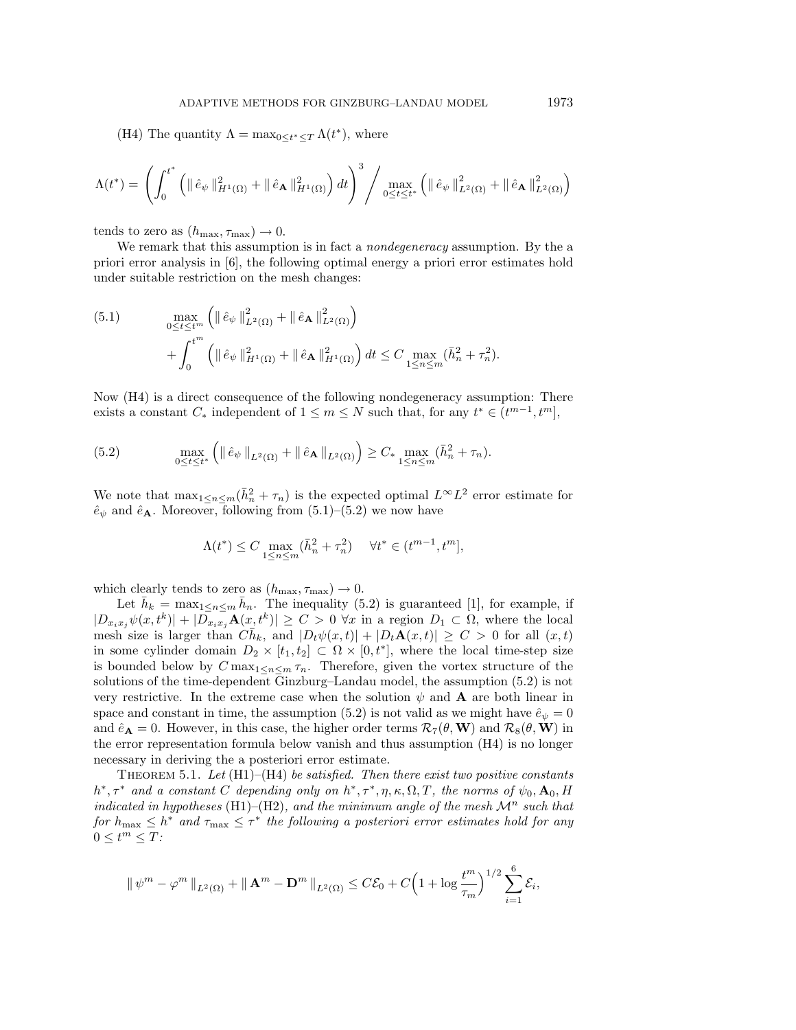(H4) The quantity  $\Lambda = \max_{0 \leq t^* \leq T} \Lambda(t^*)$ , where

$$
\Lambda(t^*) = \left( \int_0^{t^*} \left( || \hat{e}_{\psi} ||_{H^1(\Omega)}^2 + || \hat{e}_{\mathbf{A}} ||_{H^1(\Omega)}^2 \right) dt \right)^3 / \max_{0 \le t \le t^*} \left( || \hat{e}_{\psi} ||_{L^2(\Omega)}^2 + || \hat{e}_{\mathbf{A}} ||_{L^2(\Omega)}^2 \right)
$$

tends to zero as  $(h_{\text{max}}, \tau_{\text{max}}) \rightarrow 0$ .

We remark that this assumption is in fact a *nondegeneracy* assumption. By the a priori error analysis in [6], the following optimal energy a priori error estimates hold under suitable restriction on the mesh changes:

(5.1) 
$$
\max_{0 \le t \le t^m} \left( \| \hat{e}_{\psi} \|_{L^2(\Omega)}^2 + \| \hat{e}_{\mathbf{A}} \|_{L^2(\Omega)}^2 \right) + \int_0^{t^m} \left( \| \hat{e}_{\psi} \|_{H^1(\Omega)}^2 + \| \hat{e}_{\mathbf{A}} \|_{H^1(\Omega)}^2 \right) dt \le C \max_{1 \le n \le m} (\bar{h}_n^2 + \tau_n^2).
$$

Now  $(H4)$  is a direct consequence of the following nondegeneracy assumption: There exists a constant  $C_*$  independent of  $1 \le m \le N$  such that, for any  $t^* \in (t^{m-1}, t^m]$ ,

(5.2) 
$$
\max_{0 \le t \le t^*} \left( \| \hat{e}_{\psi} \|_{L^2(\Omega)} + \| \hat{e}_{\mathbf{A}} \|_{L^2(\Omega)} \right) \ge C_* \max_{1 \le n \le m} (\bar{h}_n^2 + \tau_n).
$$

We note that  $\max_{1 \le n \le m} (\bar{h}_n^2 + \tau_n)$  is the expected optimal  $L^{\infty} L^2$  error estimate for  $\hat{e}_{\psi}$  and  $\hat{e}_{\mathbf{A}}$ . Moreover, following from  $(5.1)$ – $(5.2)$  we now have

$$
\Lambda(t^*) \le C \max_{1 \le n \le m} (\bar{h}_n^2 + \tau_n^2) \quad \forall t^* \in (t^{m-1}, t^m],
$$

which clearly tends to zero as  $(h_{\text{max}}, \tau_{\text{max}}) \rightarrow 0$ .

Let  $h_k = \max_{1 \leq n \leq m} h_n$ . The inequality (5.2) is guaranteed [1], for example, if  $|D_{x_ix_j}\psi(x, t^k)| + |D_{x_ix_j}A(x, t^k)| \geq C > 0$   $\forall x$  in a region  $D_1 \subset \Omega$ , where the local mesh size is larger than  $C\bar{h}_k$ , and  $|D_t\psi(x,t)| + |D_t\mathbf{A}(x,t)| \geq C > 0$  for all  $(x,t)$ in some cylinder domain  $D_2 \times [t_1, t_2] \subset \Omega \times [0, t^*]$ , where the local time-step size is bounded below by  $C \max_{1 \leq n \leq m} \tau_n$ . Therefore, given the vortex structure of the solutions of the time-dependent Ginzburg–Landau model, the assumption  $(5.2)$  is not very restrictive. In the extreme case when the solution  $\psi$  and **A** are both linear in space and constant in time, the assumption (5.2) is not valid as we might have  $\hat{e}_{\psi} = 0$ and  $\hat{e}_{\mathbf{A}} = 0$ . However, in this case, the higher order terms  $\mathcal{R}_7(\theta, \mathbf{W})$  and  $\mathcal{R}_8(\theta, \mathbf{W})$  in the error representation formula below vanish and thus assumption  $(H4)$  is no longer necessary in deriving the a posteriori error estimate.

THEOREM 5.1. Let  $(H1)$ – $(H4)$  be satisfied. Then there exist two positive constants  $h^*, \tau^*$  and a constant C depending only on  $h^*, \tau^*, \eta, \kappa, \Omega, T$ , the norms of  $\psi_0, \mathbf{A}_0, H$ indicated in hypotheses (H1)–(H2), and the minimum angle of the mesh  $\mathcal{M}^n$  such that for  $h_{\text{max}} \leq h^*$  and  $\tau_{\text{max}} \leq \tau^*$  the following a posteriori error estimates hold for any  $0 \leq t^m \leq T$ :

$$
\|\psi^m - \varphi^m\|_{L^2(\Omega)} + \|\mathbf{A}^m - \mathbf{D}^m\|_{L^2(\Omega)} \leq C\mathcal{E}_0 + C\Big(1 + \log\frac{t^m}{\tau_m}\Big)^{1/2}\sum_{i=1}^6 \mathcal{E}_i,
$$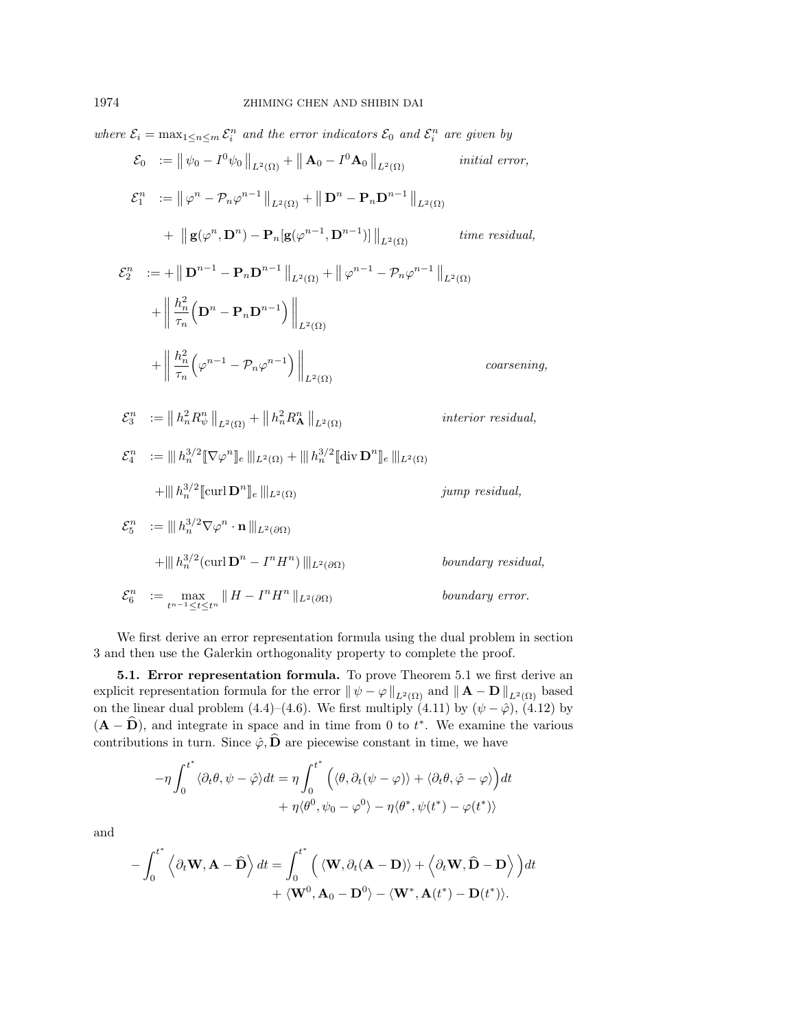where  $\mathcal{E}_i = \max_{1 \le n \le m} \mathcal{E}_i^n$  and the error indicators  $\mathcal{E}_0$  and  $\mathcal{E}_i^n$  are given by  $\mathcal{E}_0$  :=  $\|\psi_0 - I^0 \psi_0\|_{L^2(\Omega)} + \|\mathbf{A}_0 - I^0 \mathbf{A}_0\|$ initial error,  $\mathcal{E}_1^n \quad := \left\| \, \varphi^n - \mathcal{P}_n \varphi^{n-1} \, \right\|_{L^2(\Omega)} + \left\| \, \mathbf{D}^n - \mathbf{P}_n \mathbf{D}^{n-1} \, \right\|_{L^2(\Omega)}$  $+ \|\mathbf{g}(\varphi^n, \mathbf{D}^n) - \mathbf{P}_n[\mathbf{g}(\varphi^{n-1}, \mathbf{D}^{n-1})]\|$ time residual,  $\mathcal{E}_2^n \quad := + \big\| \, \mathbf{D}^{n-1} - \mathbf{P}_n \mathbf{D}^{n-1} \, \big\|_{L^2(\Omega)} + \big\| \, \varphi^{n-1} - \mathcal{P}_n \varphi^{n-1} \, \big\|_{L^2(\Omega)}$  $+$  $h_n^2$  $\tau_n$  $\left(\mathbf{D}^{n}-\mathbf{P}_{n}\mathbf{D}^{n-1}\right)\Bigg\Vert_{L^{2}(\Omega)}$  $+$   $\Big\|$  $h_n^2$  $\tau_n$  $\left( \varphi^{n-1} - \mathcal{P}_n \varphi^{n-1} \right) \bigg\|_{L^2(\Omega)}$ coarsening,  $\mathcal{E}_3^n$  =  $\| h_n^2 R_\psi^n \|_{L^2(\Omega)} + \| h_n^2 R_\mathbf{A}^n \|$ interior residual,  $\mathcal{E}_4^n \quad := \|\|h_n^{3/2} \llbracket \nabla \varphi^n \rrbracket_e\,\|_{L^2(\Omega)} + \|\|h_n^{3/2} \llbracket \operatorname{div} \mathbf{D}^n \rrbracket_e\,\|_{L^2(\Omega)}$  $+\|\hat{h}_n^{3/2}\| \text{curl } \mathbf{D}^n\|_e \|\|_{L^2(\Omega)}$  *jump residual,*  $\mathcal{E}_5^n \quad := \|\| h_n^{3/2} \nabla \varphi^n \cdot \mathbf{n} \,\|_{L^2(\partial \Omega)}$  $+\||h_n^{3/2}(\operatorname{curl} \mathbf{D}^n - I^n H^n)\||_{L^2(\partial\Omega)}$  boundary residual,  $\mathcal{E}_6^n := \max_{t^{n-1} \le t \le t^n} \| H - I^n H^n \|_{L^2(\partial \Omega)}$  boundary error.

We first derive an error representation formula using the dual problem in section 3 and then use the Galerkin orthogonality property to complete the proof.

**5.1. Error representation formula.** To prove Theorem 5.1 we first derive an explicit representation formula for the error  $\|\psi - \varphi\|_{L^2(\Omega)}$  and  $\|\mathbf{A} - \mathbf{D}\|_{L^2(\Omega)}$  based on the linear dual problem (4.4)–(4.6). We first multiply (4.11) by  $(\psi - \hat{\varphi})$ , (4.12) by  $(**A** – **D**)$ , and integrate in space and in time from 0 to  $t^*$ . We examine the various contributions in turn. Since  $\hat{\varphi}$ ,  $\hat{\mathbf{D}}$  are piecewise constant in time, we have

$$
-\eta \int_0^{t^*} \langle \partial_t \theta, \psi - \hat{\varphi} \rangle dt = \eta \int_0^{t^*} \left( \langle \theta, \partial_t (\psi - \varphi) \rangle + \langle \partial_t \theta, \hat{\varphi} - \varphi \rangle \right) dt + \eta \langle \theta^0, \psi_0 - \varphi^0 \rangle - \eta \langle \theta^*, \psi(t^*) - \varphi(t^*) \rangle
$$

and

$$
-\int_0^{t^*} \left\langle \partial_t \mathbf{W}, \mathbf{A} - \widehat{\mathbf{D}} \right\rangle dt = \int_0^{t^*} \left( \langle \mathbf{W}, \partial_t (\mathbf{A} - \mathbf{D}) \rangle + \left\langle \partial_t \mathbf{W}, \widehat{\mathbf{D}} - \mathbf{D} \right\rangle \right) dt + \langle \mathbf{W}^0, \mathbf{A}_0 - \mathbf{D}^0 \rangle - \langle \mathbf{W}^*, \mathbf{A}(t^*) - \mathbf{D}(t^*) \rangle.
$$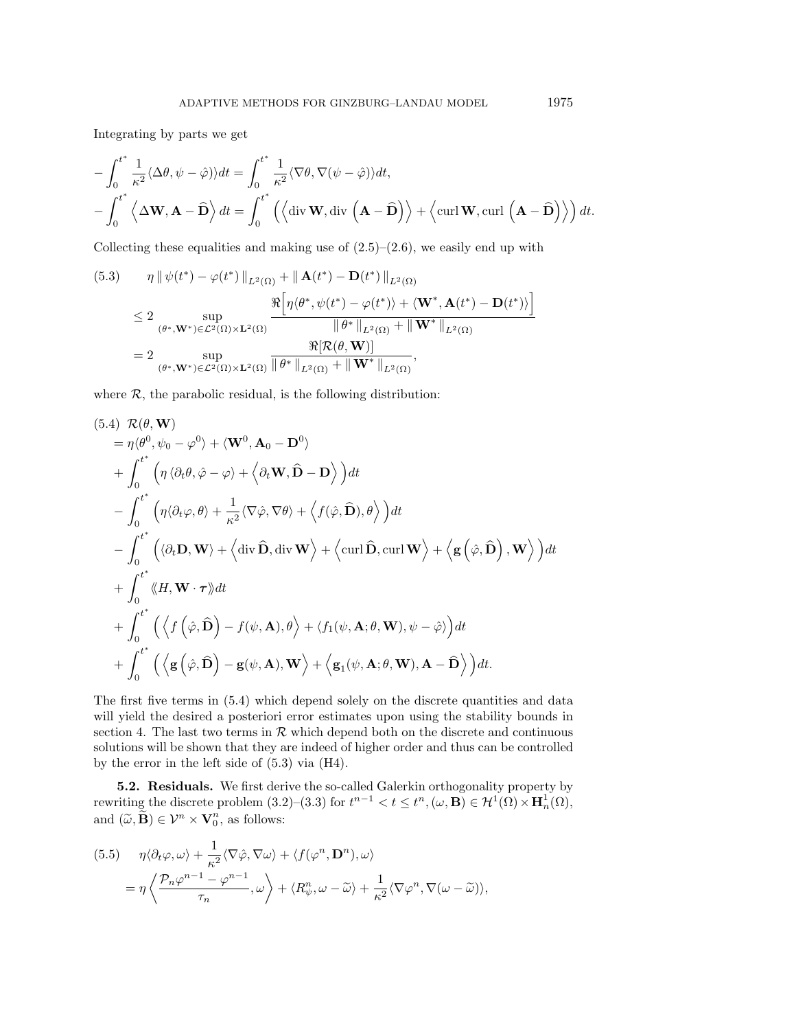Integrating by parts we get

$$
-\int_0^{t^*} \frac{1}{\kappa^2} \langle \Delta \theta, \psi - \hat{\varphi} \rangle dt = \int_0^{t^*} \frac{1}{\kappa^2} \langle \nabla \theta, \nabla (\psi - \hat{\varphi}) \rangle dt,
$$
  

$$
-\int_0^{t^*} \langle \Delta \mathbf{W}, \mathbf{A} - \hat{\mathbf{D}} \rangle dt = \int_0^{t^*} \left( \langle \text{div } \mathbf{W}, \text{div } (\mathbf{A} - \hat{\mathbf{D}}) \rangle + \langle \text{curl } \mathbf{W}, \text{curl } (\mathbf{A} - \hat{\mathbf{D}}) \rangle \right) dt.
$$

Collecting these equalities and making use of  $(2.5)$ – $(2.6)$ , we easily end up with

(5.3) 
$$
\eta \|\psi(t^*) - \varphi(t^*)\|_{L^2(\Omega)} + \|\mathbf{A}(t^*) - \mathbf{D}(t^*)\|_{L^2(\Omega)}
$$
  
\n
$$
\leq 2 \sup_{(\theta^*, \mathbf{W}^*) \in \mathcal{L}^2(\Omega) \times \mathbf{L}^2(\Omega)} \frac{\Re\big[\eta\langle\theta^*, \psi(t^*) - \varphi(t^*)\rangle + \langle \mathbf{W}^*, \mathbf{A}(t^*) - \mathbf{D}(t^*)\rangle\big]}{\|\theta^*\|_{L^2(\Omega)} + \|\mathbf{W}^*\|_{L^2(\Omega)}}\]
$$
  
\n
$$
= 2 \sup_{(\theta^*, \mathbf{W}^*) \in \mathcal{L}^2(\Omega) \times \mathbf{L}^2(\Omega)} \frac{\Re[\mathcal{R}(\theta, \mathbf{W})]}{\|\theta^*\|_{L^2(\Omega)} + \|\mathbf{W}^*\|_{L^2(\Omega)}},
$$

where  $R$ , the parabolic residual, is the following distribution:

$$
(5.4) \mathcal{R}(\theta, \mathbf{W})
$$
  
\n
$$
= \eta \langle \theta^0, \psi_0 - \varphi^0 \rangle + \langle \mathbf{W}^0, \mathbf{A}_0 - \mathbf{D}^0 \rangle
$$
  
\n
$$
+ \int_0^{t^*} \left( \eta \langle \partial_t \theta, \hat{\varphi} - \varphi \rangle + \langle \partial_t \mathbf{W}, \hat{\mathbf{D}} - \mathbf{D} \rangle \right) dt
$$
  
\n
$$
- \int_0^{t^*} \left( \eta \langle \partial_t \varphi, \theta \rangle + \frac{1}{\kappa^2} \langle \nabla \hat{\varphi}, \nabla \theta \rangle + \langle f(\hat{\varphi}, \hat{\mathbf{D}}), \theta \rangle \right) dt
$$
  
\n
$$
- \int_0^{t^*} \left( \langle \partial_t \mathbf{D}, \mathbf{W} \rangle + \langle \operatorname{div} \hat{\mathbf{D}}, \operatorname{div} \mathbf{W} \rangle + \langle \operatorname{curl} \hat{\mathbf{D}}, \operatorname{curl} \mathbf{W} \rangle + \langle \mathbf{g}(\hat{\varphi}, \hat{\mathbf{D}}), \mathbf{W} \rangle \right) dt
$$
  
\n
$$
+ \int_0^{t^*} \langle \langle H, \mathbf{W} \cdot \boldsymbol{\tau} \rangle \rangle dt
$$
  
\n
$$
+ \int_0^{t^*} \left( \langle f(\hat{\varphi}, \hat{\mathbf{D}}) - f(\psi, \mathbf{A}), \theta \rangle + \langle f_1(\psi, \mathbf{A}; \theta, \mathbf{W}), \psi - \hat{\varphi} \rangle \right) dt
$$
  
\n
$$
+ \int_0^{t^*} \left( \langle \mathbf{g}(\hat{\varphi}, \hat{\mathbf{D}}) - \mathbf{g}(\psi, \mathbf{A}), \mathbf{W} \rangle + \langle \mathbf{g}_1(\psi, \mathbf{A}; \theta, \mathbf{W}), \mathbf{A} - \hat{\mathbf{D}} \rangle \right) dt.
$$

The first five terms in  $(5.4)$  which depend solely on the discrete quantities and data will yield the desired a posteriori error estimates upon using the stability bounds in section 4. The last two terms in  $R$  which depend both on the discrete and continuous solutions will be shown that they are indeed of higher order and thus can be controlled by the error in the left side of  $(5.3)$  via  $(H4)$ .

**5.2. Residuals.** We first derive the so-called Galerkin orthogonality property by rewriting the discrete problem  $(3.2)$ – $(3.3)$  for  $t^{n-1} < t \leq t^n$ ,  $(\omega, \mathbf{B}) \in \mathcal{H}^1(\Omega) \times \mathbf{H}^1_n(\Omega)$ , and  $(\widetilde{\omega}, \widetilde{\mathbf{B}}) \in \mathcal{V}^n \times \mathbf{V}_0^n$ , as follows:

(5.5) 
$$
\eta \langle \partial_t \varphi, \omega \rangle + \frac{1}{\kappa^2} \langle \nabla \hat{\varphi}, \nabla \omega \rangle + \langle f(\varphi^n, \mathbf{D}^n), \omega \rangle \n= \eta \left\langle \frac{\mathcal{P}_n \varphi^{n-1} - \varphi^{n-1}}{\tau_n}, \omega \right\rangle + \langle R^n_{\psi}, \omega - \widetilde{\omega} \rangle + \frac{1}{\kappa^2} \langle \nabla \varphi^n, \nabla (\omega - \widetilde{\omega}) \rangle,
$$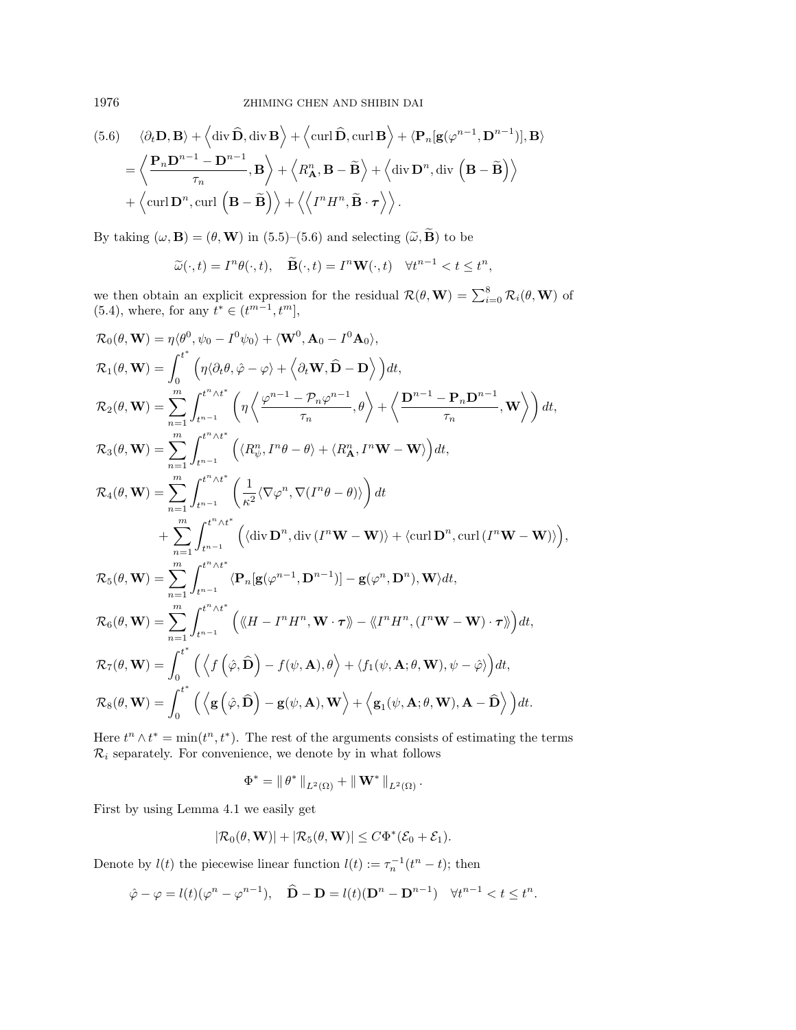1976 ZHIMING CHEN AND SHIBIN DAI

(5.6) 
$$
\langle \partial_t \mathbf{D}, \mathbf{B} \rangle + \langle \operatorname{div} \widehat{\mathbf{D}}, \operatorname{div} \mathbf{B} \rangle + \langle \operatorname{curl} \widehat{\mathbf{D}}, \operatorname{curl} \mathbf{B} \rangle + \langle \mathbf{P}_n[\mathbf{g}(\varphi^{n-1}, \mathbf{D}^{n-1})], \mathbf{B} \rangle
$$
  
\n
$$
= \langle \frac{\mathbf{P}_n \mathbf{D}^{n-1} - \mathbf{D}^{n-1}}{\tau_n}, \mathbf{B} \rangle + \langle R_\mathbf{A}^n, \mathbf{B} - \widetilde{\mathbf{B}} \rangle + \langle \operatorname{div} \mathbf{D}^n, \operatorname{div} (\mathbf{B} - \widetilde{\mathbf{B}}) \rangle
$$
  
\n
$$
+ \langle \operatorname{curl} \mathbf{D}^n, \operatorname{curl} (\mathbf{B} - \widetilde{\mathbf{B}}) \rangle + \langle \langle I^n H^n, \widetilde{\mathbf{B}} \cdot \boldsymbol{\tau} \rangle \rangle.
$$

By taking  $(\omega, \mathbf{B}) = (\theta, \mathbf{W})$  in (5.5)–(5.6) and selecting  $(\tilde{\omega}, \tilde{\mathbf{B}})$  to be

$$
\widetilde{\omega}(\cdot,t) = I^n \theta(\cdot,t), \quad \widetilde{\mathbf{B}}(\cdot,t) = I^n \mathbf{W}(\cdot,t) \quad \forall t^{n-1} < t \le t^n,
$$

we then obtain an explicit expression for the residual  $\mathcal{R}(\theta, \mathbf{W}) = \sum_{i=0}^{8} \mathcal{R}_i(\theta, \mathbf{W})$  of  $(5.4)$ , where, for any  $t^* \in (t^{m-1}, t^m]$ ,

$$
\mathcal{R}_{0}(\theta, \mathbf{W}) = \eta \langle \theta^{0}, \psi_{0} - I^{0} \psi_{0} \rangle + \langle \mathbf{W}^{0}, \mathbf{A}_{0} - I^{0} \mathbf{A}_{0} \rangle,
$$
\n
$$
\mathcal{R}_{1}(\theta, \mathbf{W}) = \int_{0}^{t^{*}} \left( \eta \langle \partial_{t} \theta, \hat{\varphi} - \varphi \rangle + \langle \partial_{t} \mathbf{W}, \hat{\mathbf{D}} - \mathbf{D} \rangle \right) dt,
$$
\n
$$
\mathcal{R}_{2}(\theta, \mathbf{W}) = \sum_{n=1}^{m} \int_{t^{n-1}}^{t^{n} \wedge t^{*}} \left( \eta \left\langle \frac{\varphi^{n-1} - \mathcal{P}_{n} \varphi^{n-1}}{\tau_{n}}, \theta \right\rangle + \left\langle \frac{\mathbf{D}^{n-1} - \mathbf{P}_{n} \mathbf{D}^{n-1}}{\tau_{n}}, \mathbf{W} \right\rangle \right) dt,
$$
\n
$$
\mathcal{R}_{3}(\theta, \mathbf{W}) = \sum_{n=1}^{m} \int_{t^{n-1}}^{t^{n} \wedge t^{*}} \left( \langle R_{\psi}^{n}, I^{n} \theta - \theta \rangle + \langle R_{\mathbf{A}}^{n}, I^{n} \mathbf{W} - \mathbf{W} \rangle \right) dt,
$$
\n
$$
\mathcal{R}_{4}(\theta, \mathbf{W}) = \sum_{n=1}^{m} \int_{t^{n-1}}^{t^{n} \wedge t^{*}} \left( \frac{1}{\kappa^{2}} \langle \nabla \varphi^{n}, \nabla (I^{n} \theta - \theta) \rangle \right) dt
$$
\n
$$
+ \sum_{n=1}^{m} \int_{t^{n-1}}^{t^{n} \wedge t^{*}} \left( \langle \text{div } \mathbf{D}^{n}, \text{div } (I^{n} \mathbf{W} - \mathbf{W}) \rangle + \langle \text{curl } \mathbf{D}^{n}, \text{curl } (I^{n} \mathbf{W} - \mathbf{W}) \rangle \right),
$$
\n
$$
\mathcal{R}_{5}(\theta, \mathbf{W}) = \sum_{n=1}^{m} \int_{t^{n-1}}^{t^{n} \wedge t^{*}} \langle \mathbf{P
$$

Here  $t^n \wedge t^* = \min(t^n, t^*)$ . The rest of the arguments consists of estimating the terms  $\mathcal{R}_i$  separately. For convenience, we denote by in what follows

$$
\Phi^* = \left\|\, \theta^*\, \right\|_{L^2(\Omega)} + \left\|\, \mathbf{W}^*\, \right\|_{L^2(\Omega)}.
$$

First by using Lemma 4.1 we easily get

$$
|\mathcal{R}_0(\theta, \mathbf{W})| + |\mathcal{R}_5(\theta, \mathbf{W})| \leq C\Phi^*(\mathcal{E}_0 + \mathcal{E}_1).
$$

Denote by  $l(t)$  the piecewise linear function  $l(t) := \tau_n^{-1} (t^n - t)$ ; then

$$
\hat{\varphi} - \varphi = l(t)(\varphi^n - \varphi^{n-1}), \quad \hat{\mathbf{D}} - \mathbf{D} = l(t)(\mathbf{D}^n - \mathbf{D}^{n-1}) \quad \forall t^{n-1} < t \leq t^n.
$$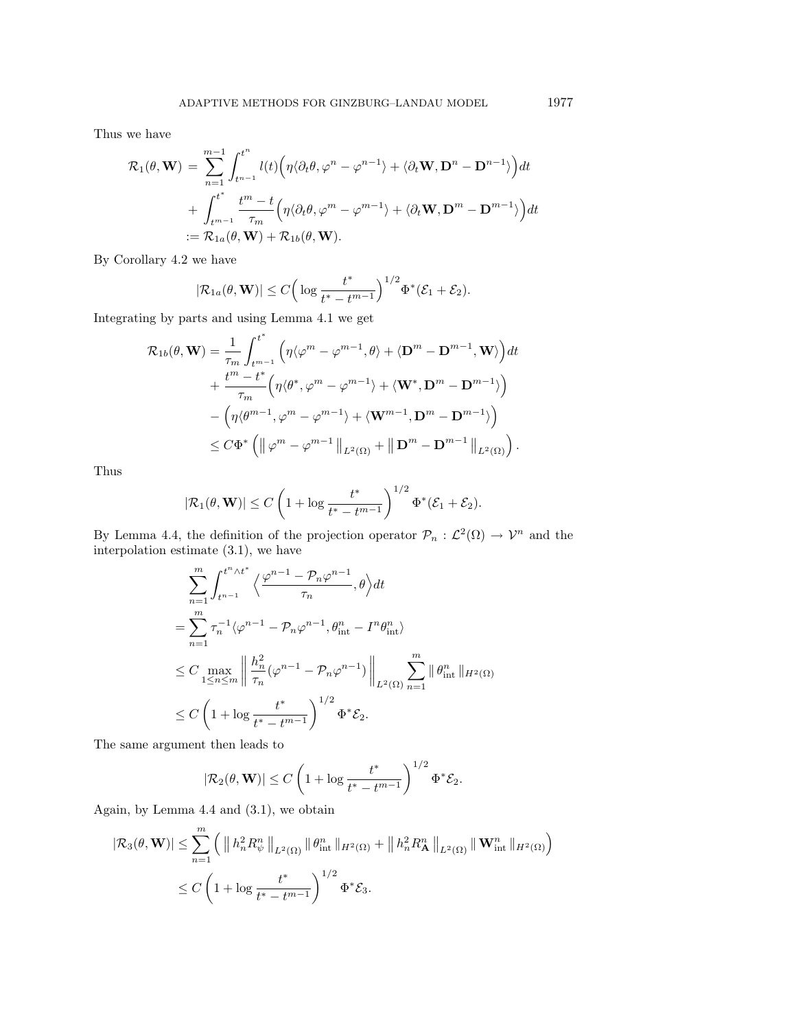Thus we have

$$
\mathcal{R}_1(\theta, \mathbf{W}) = \sum_{n=1}^{m-1} \int_{t^{n-1}}^{t^n} l(t) \Big( \eta \langle \partial_t \theta, \varphi^n - \varphi^{n-1} \rangle + \langle \partial_t \mathbf{W}, \mathbf{D}^n - \mathbf{D}^{n-1} \rangle \Big) dt + \int_{t^{m-1}}^{t^*} \frac{t^m - t}{\tau_m} \Big( \eta \langle \partial_t \theta, \varphi^m - \varphi^{m-1} \rangle + \langle \partial_t \mathbf{W}, \mathbf{D}^m - \mathbf{D}^{m-1} \rangle \Big) dt := \mathcal{R}_{1a}(\theta, \mathbf{W}) + \mathcal{R}_{1b}(\theta, \mathbf{W}).
$$

By Corollary 4.2 we have

$$
|\mathcal{R}_{1a}(\theta, \mathbf{W})| \le C \Big( \log \frac{t^*}{t^* - t^{m-1}} \Big)^{1/2} \Phi^*(\mathcal{E}_1 + \mathcal{E}_2).
$$

Integrating by parts and using Lemma 4.1 we get

$$
\mathcal{R}_{1b}(\theta, \mathbf{W}) = \frac{1}{\tau_m} \int_{t^{m-1}}^{t^*} \left( \eta \langle \varphi^m - \varphi^{m-1}, \theta \rangle + \langle \mathbf{D}^m - \mathbf{D}^{m-1}, \mathbf{W} \rangle \right) dt + \frac{t^m - t^*}{\tau_m} \left( \eta \langle \theta^*, \varphi^m - \varphi^{m-1} \rangle + \langle \mathbf{W}^*, \mathbf{D}^m - \mathbf{D}^{m-1} \rangle \right) - \left( \eta \langle \theta^{m-1}, \varphi^m - \varphi^{m-1} \rangle + \langle \mathbf{W}^{m-1}, \mathbf{D}^m - \mathbf{D}^{m-1} \rangle \right) \leq C \Phi^* \left( \left\| \varphi^m - \varphi^{m-1} \right\|_{L^2(\Omega)} + \left\| \mathbf{D}^m - \mathbf{D}^{m-1} \right\|_{L^2(\Omega)} \right).
$$

Thus

$$
|\mathcal{R}_1(\theta, \mathbf{W})| \le C\left(1 + \log \frac{t^*}{t^* - t^{m-1}}\right)^{1/2} \Phi^*(\mathcal{E}_1 + \mathcal{E}_2).
$$

By Lemma 4.4, the definition of the projection operator  $\mathcal{P}_n : \mathcal{L}^2(\Omega) \to \mathcal{V}^n$  and the interpolation estimate (3.1), we have

$$
\sum_{n=1}^{m} \int_{t^{n-1}}^{t^{n} \wedge t^{*}} \left\langle \frac{\varphi^{n-1} - \mathcal{P}_n \varphi^{n-1}}{\tau_n}, \theta \right\rangle dt
$$
\n
$$
= \sum_{n=1}^{m} \tau_n^{-1} \langle \varphi^{n-1} - \mathcal{P}_n \varphi^{n-1}, \theta_{\text{int}}^n - I^n \theta_{\text{int}}^n \rangle
$$
\n
$$
\leq C \max_{1 \leq n \leq m} \left\| \frac{h_n^2}{\tau_n} (\varphi^{n-1} - \mathcal{P}_n \varphi^{n-1}) \right\|_{L^2(\Omega)} \sum_{n=1}^{m} \|\theta_{\text{int}}^n\|_{H^2(\Omega)}
$$
\n
$$
\leq C \left( 1 + \log \frac{t^*}{t^* - t^{m-1}} \right)^{1/2} \Phi^* \mathcal{E}_2.
$$

The same argument then leads to

$$
|\mathcal{R}_2(\theta, \mathbf{W})| \le C \left(1 + \log \frac{t^*}{t^* - t^{m-1}}\right)^{1/2} \Phi^* \mathcal{E}_2.
$$

Again, by Lemma 4.4 and (3.1), we obtain

$$
|\mathcal{R}_3(\theta, \mathbf{W})| \leq \sum_{n=1}^m \left( \|h_n^2 R_{\psi}^n\|_{L^2(\Omega)} \|\theta_{\text{int}}^n\|_{H^2(\Omega)} + \|h_n^2 R_{\mathbf{A}}^n\|_{L^2(\Omega)} \|\mathbf{W}_{\text{int}}^n\|_{H^2(\Omega)} \right)
$$
  

$$
\leq C \left( 1 + \log \frac{t^*}{t^* - t^{m-1}} \right)^{1/2} \Phi^* \mathcal{E}_3.
$$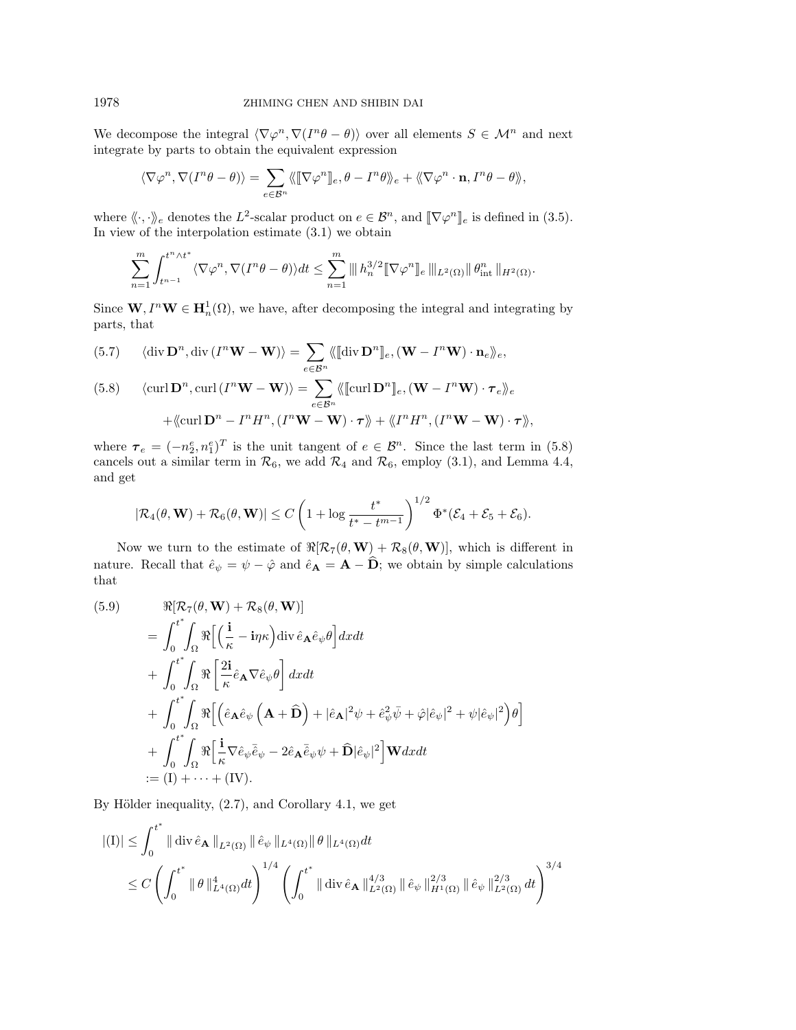We decompose the integral  $\langle \nabla \varphi^n, \nabla (I^n \theta - \theta) \rangle$  over all elements  $S \in \mathcal{M}^n$  and next integrate by parts to obtain the equivalent expression

$$
\langle \nabla \varphi^n, \nabla (I^n \theta - \theta) \rangle = \sum_{e \in \mathcal{B}^n} \langle \! \langle [\nabla \varphi^n] \! ]_e, \theta - I^n \theta \rangle \! \rangle_e + \langle \! \langle \nabla \varphi^n \cdot \mathbf{n}, I^n \theta - \theta \rangle \! \rangle,
$$

where  $\langle \langle \cdot, \cdot \rangle \rangle_e$  denotes the  $L^2$ -scalar product on  $e \in \mathcal{B}^n$ , and  $[\nabla \varphi^n]_e$  is defined in (3.5). In view of the interpolation estimate  $(3.1)$  we obtain

$$
\sum_{n=1}^m \int_{t^{n-1}}^{t^n \wedge t^*} \langle \nabla \varphi^n, \nabla (I^n \theta - \theta) \rangle dt \leq \sum_{n=1}^m \| h_n^{3/2} [\nabla \varphi^n]_e \, \|_{L^2(\Omega)} \| \theta_{\text{int}}^n \|_{H^2(\Omega)}.
$$

Since  $\mathbf{W}, I^n \mathbf{W} \in \mathbf{H}_n^1(\Omega)$ , we have, after decomposing the integral and integrating by parts, that

(5.7) 
$$
\langle \operatorname{div} \mathbf{D}^n, \operatorname{div} (I^n \mathbf{W} - \mathbf{W}) \rangle = \sum_{e \in \mathcal{B}^n} \langle \! \langle \operatorname{div} \mathbf{D}^n \rangle \! \rangle_e, (\mathbf{W} - I^n \mathbf{W}) \cdot \mathbf{n}_e \rangle \! \rangle_e,
$$

(5.8) 
$$
\langle \operatorname{curl} \mathbf{D}^n, \operatorname{curl} (I^n \mathbf{W} - \mathbf{W}) \rangle = \sum_{e \in \mathcal{B}^n} \langle \langle [\operatorname{curl} \mathbf{D}^n]_e, (\mathbf{W} - I^n \mathbf{W}) \cdot \boldsymbol{\tau}_e \rangle \rangle_e
$$
  
+  $\langle \langle \operatorname{curl} \mathbf{D}^n - I^n H^n, (I^n \mathbf{W} - \mathbf{W}) \cdot \boldsymbol{\tau} \rangle \rangle + \langle \langle I^n H^n, (I^n \mathbf{W} - \mathbf{W}) \cdot \boldsymbol{\tau} \rangle \rangle$ 

where  $\tau_e = (-n_2^e, n_1^e)^T$  is the unit tangent of  $e \in \mathcal{B}^n$ . Since the last term in (5.8) cancels out a similar term in  $\mathcal{R}_6$ , we add  $\mathcal{R}_4$  and  $\mathcal{R}_6$ , employ (3.1), and Lemma 4.4, and get

$$
|\mathcal{R}_4(\theta, \mathbf{W}) + \mathcal{R}_6(\theta, \mathbf{W})| \le C \left(1 + \log \frac{t^*}{t^* - t^{m-1}}\right)^{1/2} \Phi^*(\mathcal{E}_4 + \mathcal{E}_5 + \mathcal{E}_6).
$$

Now we turn to the estimate of  $\Re[\mathcal{R}_7(\theta, \mathbf{W}) + \mathcal{R}_8(\theta, \mathbf{W})]$ , which is different in nature. Recall that  $\hat{e}_{\psi} = \psi - \hat{\varphi}$  and  $\hat{e}_{\mathbf{A}} = \mathbf{A} - \hat{\mathbf{D}}$ ; we obtain by simple calculations that

(5.9) 
$$
\mathcal{R}[\mathcal{R}_{7}(\theta, \mathbf{W}) + \mathcal{R}_{8}(\theta, \mathbf{W})]
$$
  
\n
$$
= \int_{0}^{t^{*}} \int_{\Omega} \mathcal{R} \Big[ \Big( \frac{\mathbf{i}}{\kappa} - \mathbf{i} \eta \kappa \Big) \text{div} \,\hat{e}_{\mathbf{A}} \hat{e}_{\psi} \theta \Big] dx dt
$$
  
\n
$$
+ \int_{0}^{t^{*}} \int_{\Omega} \mathcal{R} \Big[ \frac{2\mathbf{i}}{\kappa} \hat{e}_{\mathbf{A}} \nabla \hat{e}_{\psi} \theta \Big] dx dt
$$
  
\n
$$
+ \int_{0}^{t^{*}} \int_{\Omega} \mathcal{R} \Big[ \Big( \hat{e}_{\mathbf{A}} \hat{e}_{\psi} \Big( \mathbf{A} + \hat{\mathbf{D}} \Big) + |\hat{e}_{\mathbf{A}}|^{2} \psi + \hat{e}_{\psi}^{2} \bar{\psi} + \hat{\varphi} |\hat{e}_{\psi}|^{2} + \psi |\hat{e}_{\psi}|^{2} \Big) \theta \Big]
$$
  
\n
$$
+ \int_{0}^{t^{*}} \int_{\Omega} \mathcal{R} \Big[ \frac{\mathbf{i}}{\kappa} \nabla \hat{e}_{\psi} \bar{\hat{e}}_{\psi} - 2 \hat{e}_{\mathbf{A}} \bar{\hat{e}}_{\psi} \psi + \hat{\mathbf{D}} |\hat{e}_{\psi}|^{2} \Big] \mathbf{W} dx dt
$$
  
\n
$$
:= (\mathbf{I}) + \dots + (\mathbf{IV}).
$$

By Hölder inequality,  $(2.7)$ , and Corollary 4.1, we get

$$
\begin{aligned} |(\mathbf{I})| &\leq \int_0^{t^*} \|\operatorname{div} \hat{e}_{\mathbf{A}}\|_{L^2(\Omega)} \|\hat{e}_{\psi}\|_{L^4(\Omega)} \|\theta\|_{L^4(\Omega)} dt \\ &\leq C \left( \int_0^{t^*} \|\theta\|_{L^4(\Omega)}^4 dt \right)^{1/4} \left( \int_0^{t^*} \|\operatorname{div} \hat{e}_{\mathbf{A}}\|_{L^2(\Omega)}^{4/3} \|\hat{e}_{\psi}\|_{H^1(\Omega)}^{2/3} \|\hat{e}_{\psi}\|_{L^2(\Omega)}^{2/3} dt \right)^{3/4} \end{aligned}
$$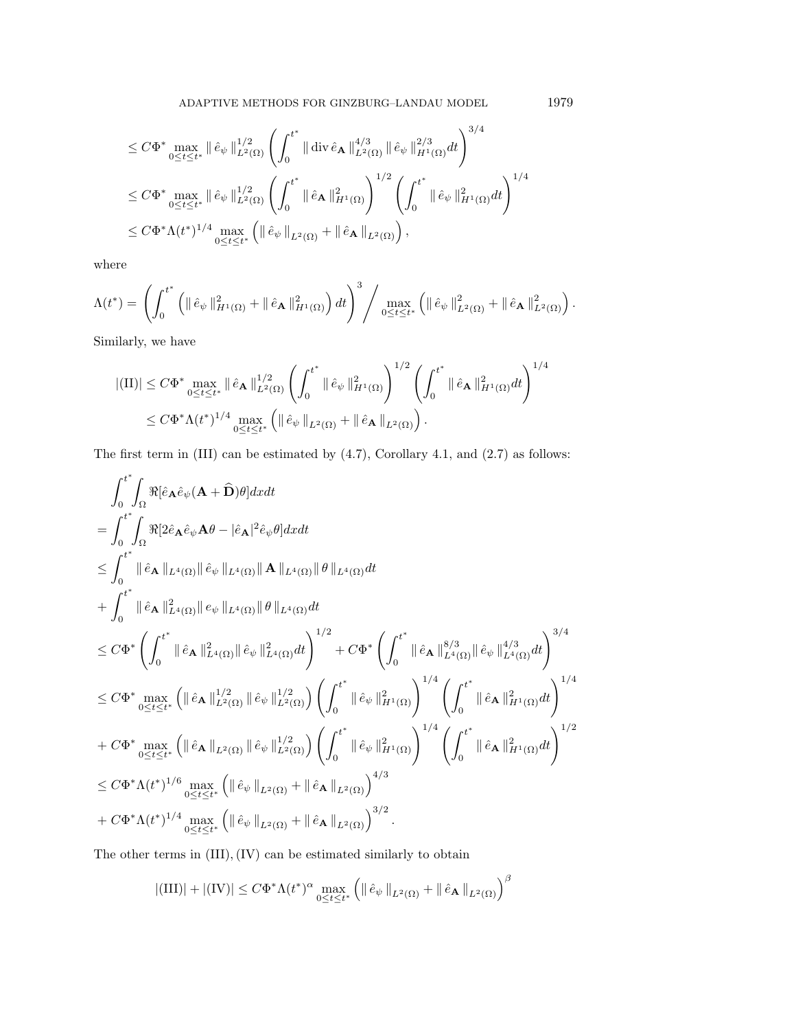$$
\leq C\Phi^* \max_{0\leq t\leq t^*} \|\hat{e}_{\psi}\|_{L^2(\Omega)}^{1/2} \left(\int_0^{t^*} \|\operatorname{div} \hat{e}_{\mathbf{A}}\|_{L^2(\Omega)}^{4/3} \|\hat{e}_{\psi}\|_{H^1(\Omega)}^{2/3} dt\right)^{3/4}
$$
  

$$
\leq C\Phi^* \max_{0\leq t\leq t^*} \|\hat{e}_{\psi}\|_{L^2(\Omega)}^{1/2} \left(\int_0^{t^*} \|\hat{e}_{\mathbf{A}}\|_{H^1(\Omega)}^2\right)^{1/2} \left(\int_0^{t^*} \|\hat{e}_{\psi}\|_{H^1(\Omega)}^2 dt\right)^{1/4}
$$
  

$$
\leq C\Phi^* \Lambda(t^*)^{1/4} \max_{0\leq t\leq t^*} \left(\|\hat{e}_{\psi}\|_{L^2(\Omega)} + \|\hat{e}_{\mathbf{A}}\|_{L^2(\Omega)}\right),
$$

where

$$
\Lambda(t^*) = \left( \int_0^{t^*} \left( \|\hat{e}_{\psi}\|_{H^1(\Omega)}^2 + \|\hat{e}_{\mathbf{A}}\|_{H^1(\Omega)}^2 \right) dt \right)^3 / \max_{0 \le t \le t^*} \left( \|\hat{e}_{\psi}\|_{L^2(\Omega)}^2 + \|\hat{e}_{\mathbf{A}}\|_{L^2(\Omega)}^2 \right).
$$

Similarly, we have

$$
\begin{split} |(\text{II})| &\leq C\Phi^* \max_{0\leq t\leq t^*} \|\hat{e}_{\mathbf{A}}\|_{L^2(\Omega)}^{1/2} \left(\int_0^{t^*} \|\hat{e}_{\psi}\|_{H^1(\Omega)}^2\right)^{1/2} \left(\int_0^{t^*} \|\hat{e}_{\mathbf{A}}\|_{H^1(\Omega)}^2 dt\right)^{1/4} \\ &\leq C\Phi^* \Lambda (t^*)^{1/4} \max_{0\leq t\leq t^*} \left(\|\hat{e}_{\psi}\|_{L^2(\Omega)} + \|\hat{e}_{\mathbf{A}}\|_{L^2(\Omega)}\right). \end{split}
$$

The first term in  $(III)$  can be estimated by  $(4.7)$ , Corollary 4.1, and  $(2.7)$  as follows:

$$
\int_{0}^{t^{*}} \int_{\Omega} \Re[\hat{e}_{\mathbf{A}} \hat{e}_{\psi}(\mathbf{A} + \hat{\mathbf{D}})\theta] dx dt \n= \int_{0}^{t^{*}} \int_{\Omega} \Re[2\hat{e}_{\mathbf{A}} \hat{e}_{\psi} \mathbf{A}\theta - |\hat{e}_{\mathbf{A}}|^{2} \hat{e}_{\psi}\theta] dx dt \n\leq \int_{0}^{t^{*}} ||\hat{e}_{\mathbf{A}} ||_{L^{4}(\Omega)} ||\hat{e}_{\psi} ||_{L^{4}(\Omega)} || \mathbf{A} ||_{L^{4}(\Omega)} ||\theta ||_{L^{4}(\Omega)} dt \n+ \int_{0}^{t^{*}} ||\hat{e}_{\mathbf{A}} ||_{L^{4}(\Omega)}^{2} ||e_{\psi} ||_{L^{4}(\Omega)} ||\theta ||_{L^{4}(\Omega)} dt \n\leq C \Phi^{*} \left( \int_{0}^{t^{*}} ||\hat{e}_{\mathbf{A}} ||_{L^{4}(\Omega)}^{2} ||\hat{e}_{\psi}||_{L^{4}(\Omega)}^{2} dt \right)^{1/2} + C \Phi^{*} \left( \int_{0}^{t^{*}} ||\hat{e}_{\mathbf{A}} ||_{L^{4}(\Omega)}^{8/3} ||\hat{e}_{\psi}||_{L^{4}(\Omega)}^{4/3} dt \right)^{3/4} \n\leq C \Phi^{*} \max_{0 \leq t \leq t^{*}} \left( ||\hat{e}_{\mathbf{A}} ||_{L^{2}(\Omega)}^{1/2} ||\hat{e}_{\psi}||_{L^{2}(\Omega)}^{1/2} \right) \left( \int_{0}^{t^{*}} ||\hat{e}_{\psi}||_{H^{1}(\Omega)}^{2} \right)^{1/4} \left( \int_{0}^{t^{*}} ||\hat{e}_{\mathbf{A}} ||_{H^{1}(\Omega)}^{2} dt \right)^{1/4} \n+ C \Phi^{*} \max_{0 \leq t \leq t^{*}} \left( ||\hat{e}_{\mathbf{A}} ||_{L^{2}(\Omega)} ||\hat{e}_{\psi}||_{L^{2}(\Omega)}^{1/2} \right) \left( \int_{0}^{t^{*}} ||\hat{e}_{\psi}||_{H^{1}(\Omega)}^{2} \right)^{1/4} \left( \int_{0}^{t^{*}} ||\hat{e}_{\mathbf{A}}
$$

The other terms in  $(III), (IV)$  can be estimated similarly to obtain

$$
\left| \left( \textrm{III} \right) \right| + \left| \left( \textrm{IV} \right) \right| \leq C \Phi^* \Lambda (t^*)^{\alpha} \max_{0 \leq t \leq t^*} \left( \parallel \hat{e}_{\psi} \parallel_{L^2(\Omega)} + \parallel \hat{e}_{\mathbf{A}} \parallel_{L^2(\Omega)} \right)^{\beta}
$$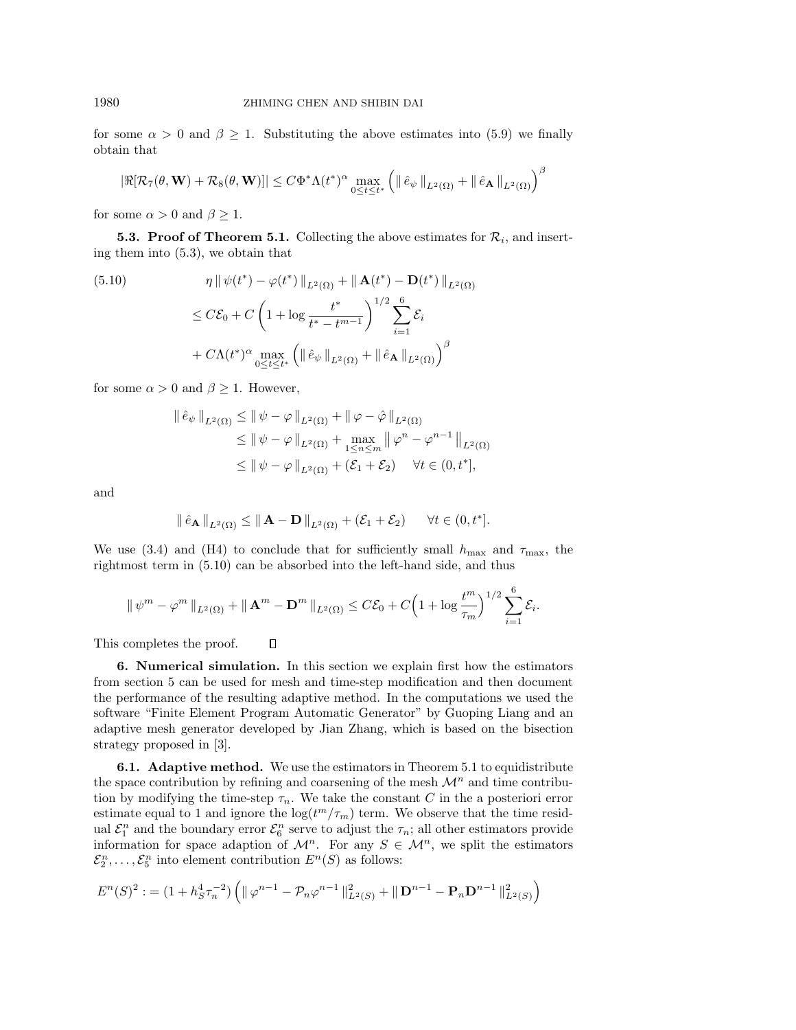for some  $\alpha > 0$  and  $\beta \geq 1$ . Substituting the above estimates into (5.9) we finally obtain that

$$
\left| \Re[\mathcal{R}_7(\theta,\mathbf{W})+\mathcal{R}_8(\theta,\mathbf{W})]\right|\leq C\Phi^*\Lambda(t^*)^{\alpha}\max_{0\leq t\leq t^*}\left(\left\|\left.\hat{e}_{\psi}\right.\right\|_{L^2(\Omega)}+\left\|\left.\hat{e}_{\mathbf{A}}\right.\right\|_{L^2(\Omega)}\right)^{\beta}
$$

for some  $\alpha > 0$  and  $\beta \geq 1$ .

**5.3. Proof of Theorem 5.1.** Collecting the above estimates for  $\mathcal{R}_i$ , and inserting them into (5.3), we obtain that

(5.10) 
$$
\eta \|\psi(t^*) - \varphi(t^*)\|_{L^2(\Omega)} + \|\mathbf{A}(t^*) - \mathbf{D}(t^*)\|_{L^2(\Omega)}
$$

$$
\leq C\mathcal{E}_0 + C\left(1 + \log \frac{t^*}{t^* - t^{m-1}}\right)^{1/2} \sum_{i=1}^6 \mathcal{E}_i
$$

$$
+ C\Lambda(t^*)^{\alpha} \max_{0 \leq t \leq t^*} \left(\|\hat{e}_{\psi}\|_{L^2(\Omega)} + \|\hat{e}_{\mathbf{A}}\|_{L^2(\Omega)}\right)^{\beta}
$$

for some  $\alpha > 0$  and  $\beta \geq 1$ . However,

$$
\begin{aligned} \|\hat{e}_{\psi}\|_{L^2(\Omega)} &\leq \|\psi - \varphi\|_{L^2(\Omega)} + \|\varphi - \hat{\varphi}\|_{L^2(\Omega)} \\ &\leq \|\psi - \varphi\|_{L^2(\Omega)} + \max_{1 \leq n \leq m} \|\varphi^n - \varphi^{n-1}\|_{L^2(\Omega)} \\ &\leq \|\psi - \varphi\|_{L^2(\Omega)} + (\mathcal{E}_1 + \mathcal{E}_2) \quad \forall t \in (0, t^*], \end{aligned}
$$

and

$$
\|\hat{e}_{\mathbf{A}}\|_{L^2(\Omega)} \le \|\mathbf{A} - \mathbf{D}\|_{L^2(\Omega)} + (\mathcal{E}_1 + \mathcal{E}_2) \qquad \forall t \in (0, t^*].
$$

We use (3.4) and (H4) to conclude that for sufficiently small  $h_{\text{max}}$  and  $\tau_{\text{max}}$ , the rightmost term in  $(5.10)$  can be absorbed into the left-hand side, and thus

$$
\|\psi^m - \varphi^m\|_{L^2(\Omega)} + \|\mathbf{A}^m - \mathbf{D}^m\|_{L^2(\Omega)} \leq C\mathcal{E}_0 + C\Big(1 + \log\frac{t^m}{\tau_m}\Big)^{1/2} \sum_{i=1}^6 \mathcal{E}_i.
$$

This completes the proof.  $\Box$ 

**6. Numerical simulation.** In this section we explain first how the estimators from section 5 can be used for mesh and time-step modification and then document the performance of the resulting adaptive method. In the computations we used the software "Finite Element Program Automatic Generator" by Guoping Liang and an adaptive mesh generator developed by Jian Zhang, which is based on the bisection strategy proposed in [3].

**6.1. Adaptive method.** We use the estimators in Theorem 5.1 to equidistribute the space contribution by refining and coarsening of the mesh  $\mathcal{M}^n$  and time contribution by modifying the time-step  $\tau_n$ . We take the constant C in the a posteriori error estimate equal to 1 and ignore the  $\log(t^m/\tau_m)$  term. We observe that the time residual  $\mathcal{E}_1^n$  and the boundary error  $\mathcal{E}_6^n$  serve to adjust the  $\tau_n$ ; all other estimators provide information for space adaption of  $\mathcal{M}^n$ . For any  $S \in \mathcal{M}^n$ , we split the estimators  $\mathcal{E}_2^n, \ldots, \mathcal{E}_5^n$  into element contribution  $E^n(S)$  as follows:

$$
E^{n}(S)^{2} := (1 + h_{S}^{4} \tau_{n}^{-2}) \left( \|\varphi^{n-1} - \mathcal{P}_{n}\varphi^{n-1}\|_{L^{2}(S)}^{2} + \|\mathbf{D}^{n-1} - \mathbf{P}_{n}\mathbf{D}^{n-1}\|_{L^{2}(S)}^{2} \right)
$$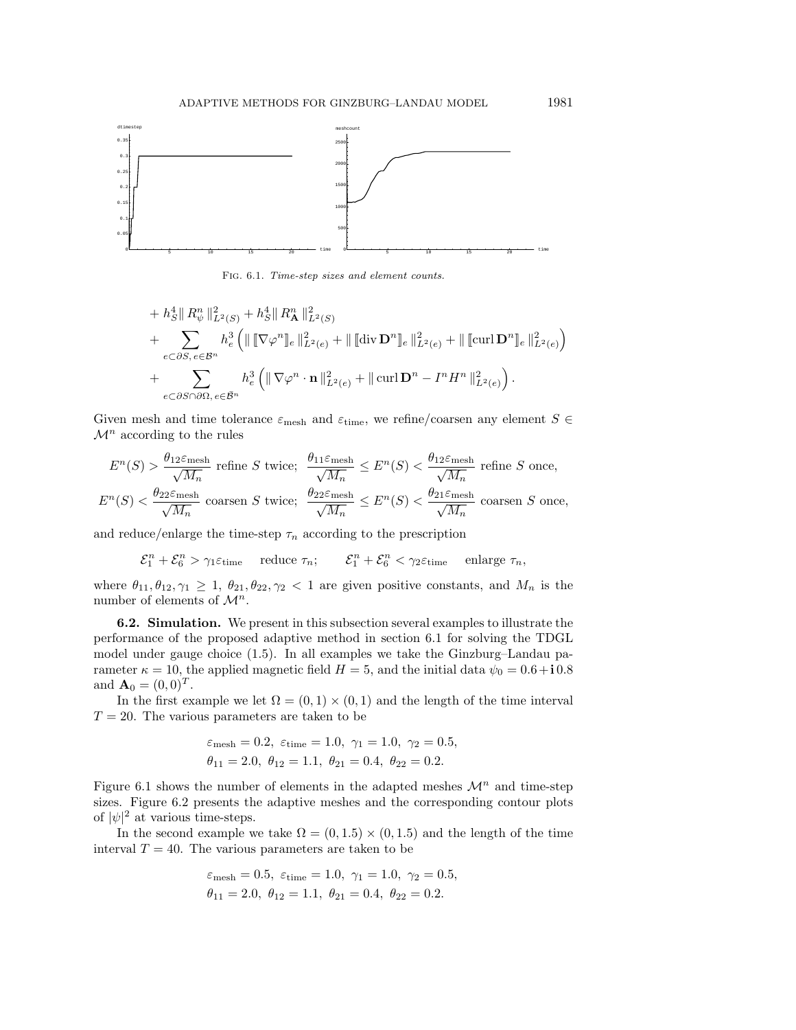

Fig. 6.1. Time-step sizes and element counts.

+ 
$$
h_S^4 \| R_{\psi}^n \|_{L^2(S)}^2 + h_S^4 \| R_{\mathbf{A}}^n \|_{L^2(S)}^2
$$
  
+  $\sum_{e \subset \partial S, e \in \mathcal{B}^n} h_e^3 \left( \| \nabla \varphi^n \|_e \|^2_{L^2(e)} + \| \nabla \mathbf{D}^n \|_e \|^2_{L^2(e)} + \| \nabla \mathbf{D}^n \|_e \|^2_{L^2(e)} \right)$   
+  $\sum_{e \subset \partial S \cap \partial \Omega, e \in \mathcal{B}^n} h_e^3 \left( \| \nabla \varphi^n \cdot \mathbf{n} \|^2_{L^2(e)} + \| \nabla \mathbf{D}^n - \nabla H^n \|_{L^2(e)}^2 \right).$ 

Given mesh and time tolerance  $\varepsilon_{\text{mesh}}$  and  $\varepsilon_{\text{time}}$ , we refine/coarsen any element  $S \in$  $\mathcal{M}^n$  according to the rules

$$
E^{n}(S) > \frac{\theta_{12} \varepsilon_{\text{mesh}}}{\sqrt{M_n}} \text{ refine } S \text{ twice}; \quad \frac{\theta_{11} \varepsilon_{\text{mesh}}}{\sqrt{M_n}} \le E^{n}(S) < \frac{\theta_{12} \varepsilon_{\text{mesh}}}{\sqrt{M_n}} \text{ refine } S \text{ once},
$$
  

$$
E^{n}(S) < \frac{\theta_{22} \varepsilon_{\text{mesh}}}{\sqrt{M_n}} \text{ coarsen } S \text{ twice}; \quad \frac{\theta_{22} \varepsilon_{\text{mesh}}}{\sqrt{M_n}} \le E^{n}(S) < \frac{\theta_{21} \varepsilon_{\text{mesh}}}{\sqrt{M_n}} \text{ coarsen } S \text{ once},
$$

and reduce/enlarge the time-step  $\tau_n$  according to the prescription

 $\mathcal{E}_1^n + \mathcal{E}_6^n > \gamma_1 \varepsilon_{\text{time}}$  reduce  $\tau_n$ ;  $\mathcal{E}_1^n + \mathcal{E}_6^n < \gamma_2 \varepsilon_{\text{time}}$  enlarge  $\tau_n$ ,

where  $\theta_{11}, \theta_{12}, \gamma_1 \geq 1$ ,  $\theta_{21}, \theta_{22}, \gamma_2 < 1$  are given positive constants, and  $M_n$  is the number of elements of  $\mathcal{M}^n$ .

**6.2. Simulation.** We present in this subsection several examples to illustrate the performance of the proposed adaptive method in section 6.1 for solving the TDGL model under gauge choice (1.5). In all examples we take the Ginzburg–Landau parameter  $\kappa = 10$ , the applied magnetic field  $H = 5$ , and the initial data  $\psi_0 = 0.6 + 10.8$ and  $\mathbf{A}_0 = (0, 0)^T$ .

In the first example we let  $\Omega = (0,1) \times (0,1)$  and the length of the time interval  $T = 20$ . The various parameters are taken to be

$$
\varepsilon_{\text{mesh}} = 0.2, \ \varepsilon_{\text{time}} = 1.0, \ \gamma_1 = 1.0, \ \gamma_2 = 0.5,
$$
  
\n $\theta_{11} = 2.0, \ \theta_{12} = 1.1, \ \theta_{21} = 0.4, \ \theta_{22} = 0.2.$ 

Figure 6.1 shows the number of elements in the adapted meshes  $\mathcal{M}^n$  and time-step sizes. Figure 6.2 presents the adaptive meshes and the corresponding contour plots of  $|\psi|^2$  at various time-steps.

In the second example we take  $\Omega = (0, 1.5) \times (0, 1.5)$  and the length of the time interval  $T = 40$ . The various parameters are taken to be

$$
\varepsilon_{\text{mesh}} = 0.5, \ \varepsilon_{\text{time}} = 1.0, \ \gamma_1 = 1.0, \ \gamma_2 = 0.5, \n\theta_{11} = 2.0, \ \theta_{12} = 1.1, \ \theta_{21} = 0.4, \ \theta_{22} = 0.2.
$$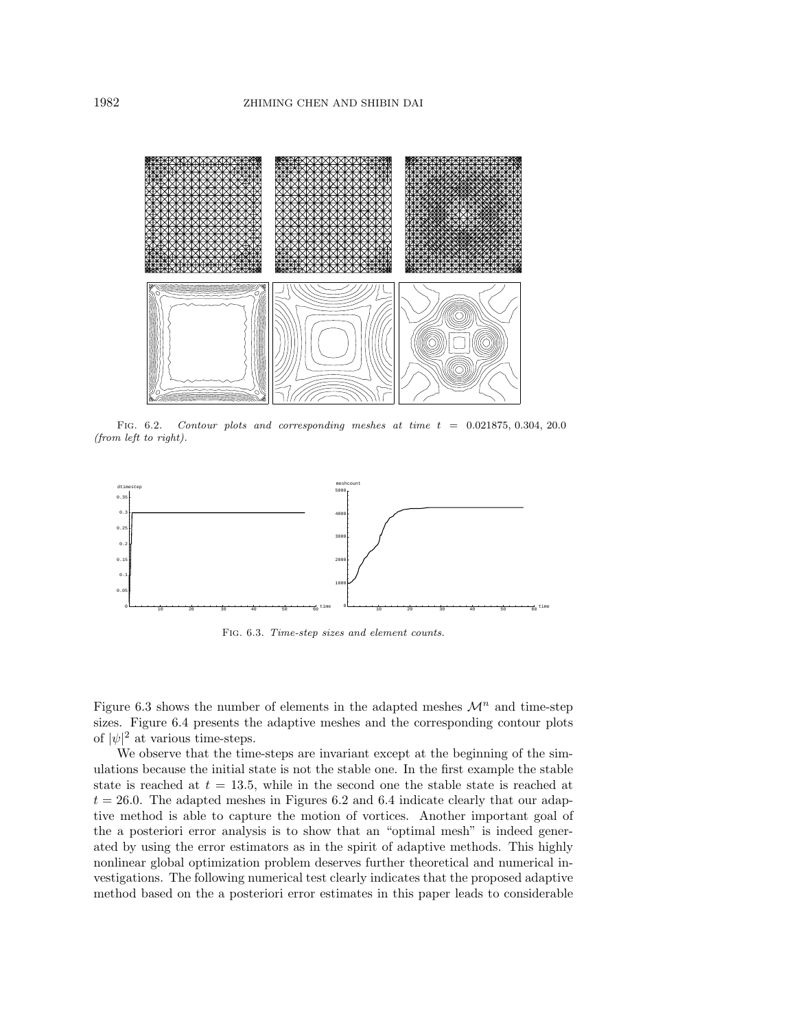

FIG. 6.2. Contour plots and corresponding meshes at time  $t = 0.021875, 0.304, 20.0$ (from left to right).



Fig. 6.3. Time-step sizes and element counts.

Figure 6.3 shows the number of elements in the adapted meshes  $\mathcal{M}^n$  and time-step sizes. Figure 6.4 presents the adaptive meshes and the corresponding contour plots of  $|\psi|^2$  at various time-steps.

We observe that the time-steps are invariant except at the beginning of the simulations because the initial state is not the stable one. In the first example the stable state is reached at  $t = 13.5$ , while in the second one the stable state is reached at  $t = 26.0$ . The adapted meshes in Figures 6.2 and 6.4 indicate clearly that our adaptive method is able to capture the motion of vortices. Another important goal of the a posteriori error analysis is to show that an "optimal mesh" is indeed generated by using the error estimators as in the spirit of adaptive methods. This highly nonlinear global optimization problem deserves further theoretical and numerical investigations. The following numerical test clearly indicates that the proposed adaptive method based on the a posteriori error estimates in this paper leads to considerable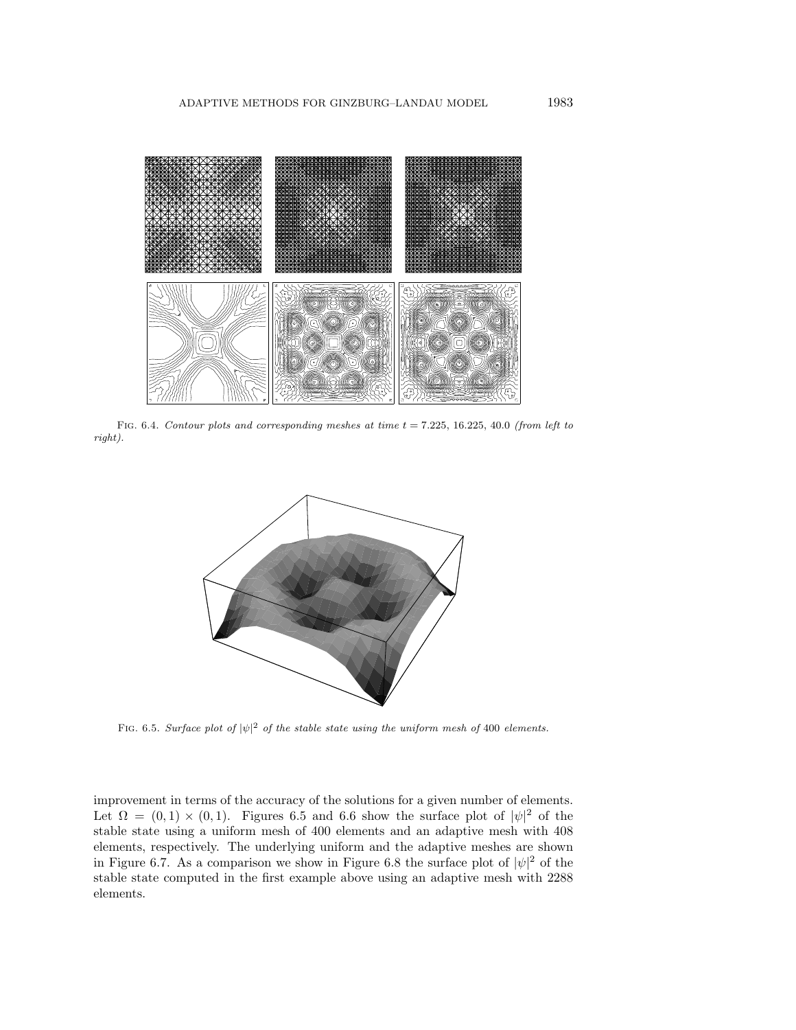

FIG. 6.4. Contour plots and corresponding meshes at time  $t = 7.225, 16.225, 40.0$  (from left to right).



FIG. 6.5. Surface plot of  $|\psi|^2$  of the stable state using the uniform mesh of 400 elements.

improvement in terms of the accuracy of the solutions for a given number of elements. Let  $\Omega = (0,1) \times (0,1)$ . Figures 6.5 and 6.6 show the surface plot of  $|\psi|^2$  of the stable state using a uniform mesh of 400 elements and an adaptive mesh with 408 elements, respectively. The underlying uniform and the adaptive meshes are shown in Figure 6.7. As a comparison we show in Figure 6.8 the surface plot of  $|\psi|^2$  of the stable state computed in the first example above using an adaptive mesh with 2288 elements.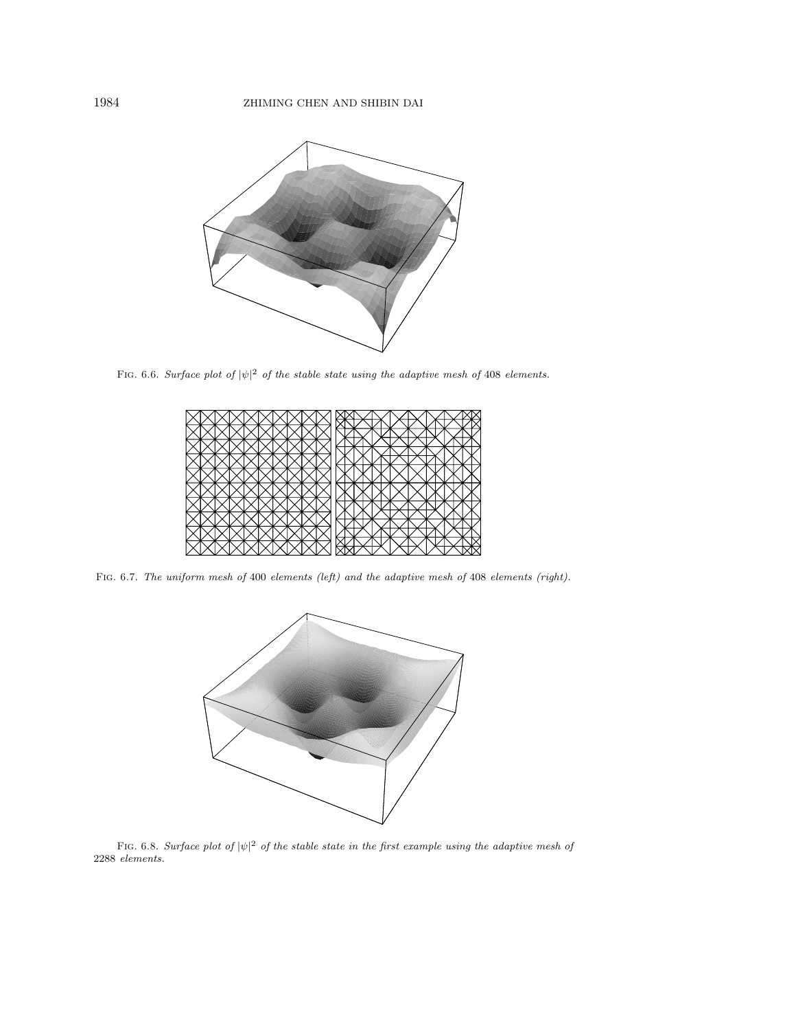

FIG. 6.6. Surface plot of  $|\psi|^2$  of the stable state using the adaptive mesh of 408 elements.



Fig. 6.7. The uniform mesh of 400 elements (left) and the adaptive mesh of 408 elements (right).



FIG. 6.8. Surface plot of  $|\psi|^2$  of the stable state in the first example using the adaptive mesh of 2288 elements.